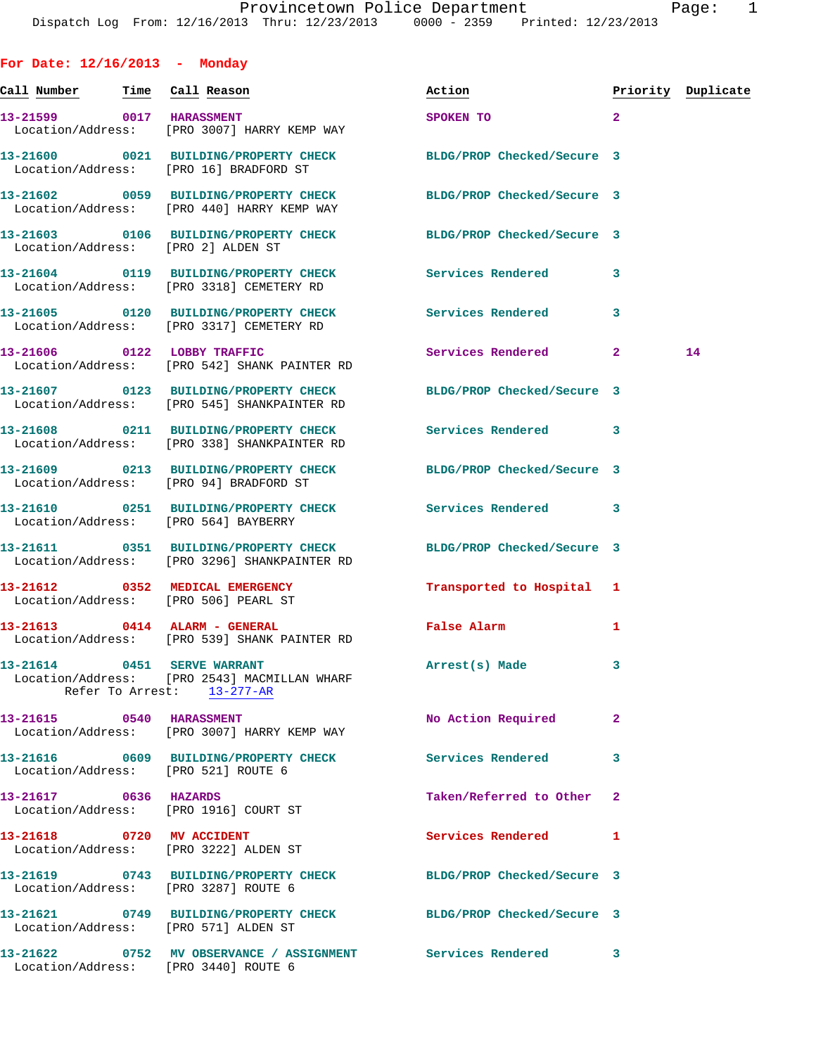| For Date: $12/16/2013$ - Monday |                                                                                                      |                            |              |                    |
|---------------------------------|------------------------------------------------------------------------------------------------------|----------------------------|--------------|--------------------|
| Call Number - Time Call Reason  |                                                                                                      | Action                     |              | Priority Duplicate |
| 13-21599 0017 HARASSMENT        | Location/Address: [PRO 3007] HARRY KEMP WAY                                                          | SPOKEN TO                  | $\mathbf{2}$ |                    |
|                                 | 13-21600 0021 BUILDING/PROPERTY CHECK<br>Location/Address: [PRO 16] BRADFORD ST                      | BLDG/PROP Checked/Secure 3 |              |                    |
|                                 | 13-21602 0059 BUILDING/PROPERTY CHECK<br>Location/Address: [PRO 440] HARRY KEMP WAY                  | BLDG/PROP Checked/Secure 3 |              |                    |
|                                 | 13-21603 0106 BUILDING/PROPERTY CHECK<br>Location/Address: [PRO 2] ALDEN ST                          | BLDG/PROP Checked/Secure 3 |              |                    |
|                                 | 13-21604 0119 BUILDING/PROPERTY CHECK<br>Location/Address: [PRO 3318] CEMETERY RD                    | Services Rendered          | 3            |                    |
|                                 | 13-21605 0120 BUILDING/PROPERTY CHECK Services Rendered<br>Location/Address: [PRO 3317] CEMETERY RD  |                            | 3            |                    |
| 13-21606 0122 LOBBY TRAFFIC     | Location/Address: [PRO 542] SHANK PAINTER RD                                                         | Services Rendered 2        |              | 14                 |
|                                 | 13-21607 0123 BUILDING/PROPERTY CHECK<br>Location/Address: [PRO 545] SHANKPAINTER RD                 | BLDG/PROP Checked/Secure 3 |              |                    |
|                                 | 13-21608 0211 BUILDING/PROPERTY CHECK<br>Location/Address: [PRO 338] SHANKPAINTER RD                 | Services Rendered          | $\mathbf{3}$ |                    |
|                                 | 13-21609 0213 BUILDING/PROPERTY CHECK<br>Location/Address: [PRO 94] BRADFORD ST                      | BLDG/PROP Checked/Secure 3 |              |                    |
|                                 | 13-21610 0251 BUILDING/PROPERTY CHECK<br>Location/Address: [PRO 564] BAYBERRY                        | <b>Services Rendered</b>   | 3            |                    |
|                                 | 13-21611 0351 BUILDING/PROPERTY CHECK<br>Location/Address: [PRO 3296] SHANKPAINTER RD                | BLDG/PROP Checked/Secure 3 |              |                    |
|                                 | 13-21612 0352 MEDICAL EMERGENCY<br>Location/Address: [PRO 506] PEARL ST                              | Transported to Hospital 1  |              |                    |
|                                 | 13-21613 0414 ALARM - GENERAL<br>Location/Address: [PRO 539] SHANK PAINTER RD                        | False Alarm                | 1            |                    |
| 13-21614 0451 SERVE WARRANT     | Location/Address: [PRO 2543] MACMILLAN WHARF<br>Refer To Arrest: 13-277-AR                           | Arrest(s) Made             | 3            |                    |
|                                 | 13-21615 0540 HARASSMENT<br>Location/Address: [PRO 3007] HARRY KEMP WAY                              | No Action Required         | $\mathbf{2}$ |                    |
|                                 | 13-21616 0609 BUILDING/PROPERTY CHECK<br>Location/Address: [PRO 521] ROUTE 6                         | <b>Services Rendered</b>   | 3            |                    |
| 13-21617 0636 HAZARDS           | Location/Address: [PRO 1916] COURT ST                                                                | Taken/Referred to Other    | 2            |                    |
| 13-21618 0720 MV ACCIDENT       | Location/Address: [PRO 3222] ALDEN ST                                                                | <b>Services Rendered</b>   | 1            |                    |
|                                 | 13-21619 0743 BUILDING/PROPERTY CHECK<br>Location/Address: [PRO 3287] ROUTE 6                        | BLDG/PROP Checked/Secure 3 |              |                    |
|                                 | 13-21621 0749 BUILDING/PROPERTY CHECK<br>Location/Address: [PRO 571] ALDEN ST                        | BLDG/PROP Checked/Secure 3 |              |                    |
|                                 | 13-21622 0752 MV OBSERVANCE / ASSIGNMENT Services Rendered 3<br>Location/Address: [PRO 3440] ROUTE 6 |                            |              |                    |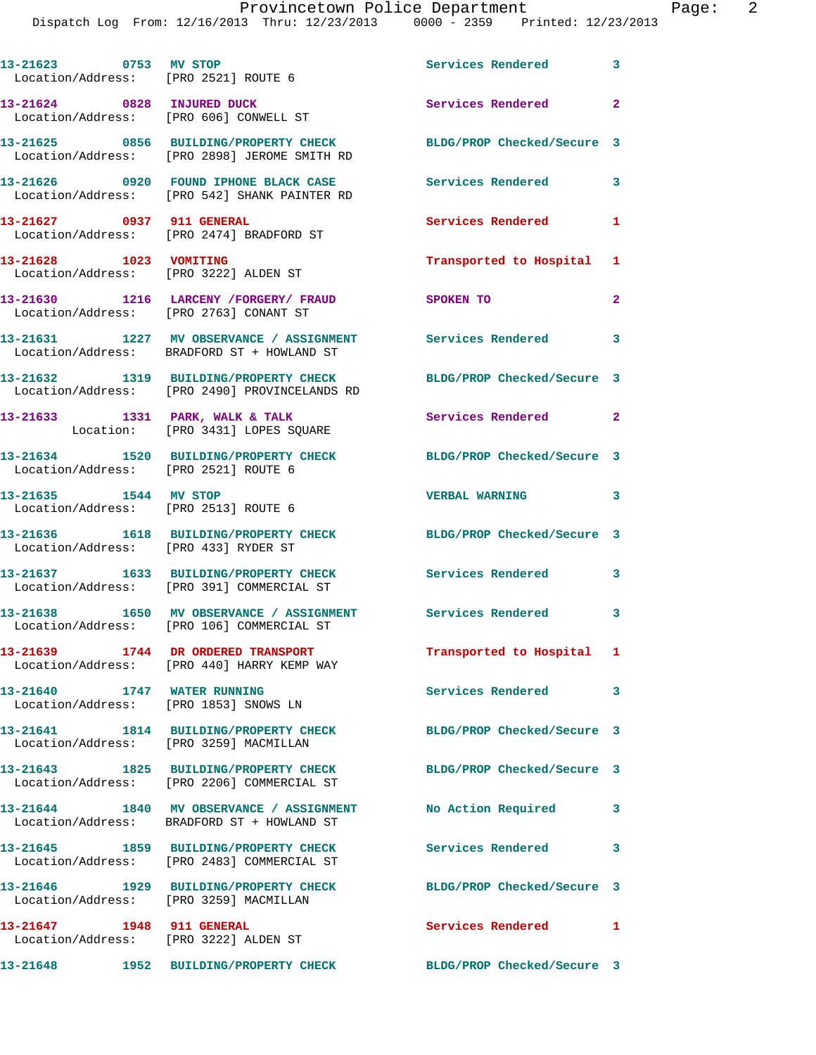Dispatch Log From: 12/16/2013 Thru: 12/23/2013 0000 - 2359 Printed: 12/23/2013

| 13-21623 0753 MV STOP                  | Location/Address: [PRO 2521] ROUTE 6                                                                       | <b>Services Rendered</b>   | $\overline{\mathbf{3}}$ |
|----------------------------------------|------------------------------------------------------------------------------------------------------------|----------------------------|-------------------------|
| Location/Address: [PRO 606] CONWELL ST | 13-21624 0828 INJURED DUCK                                                                                 | Services Rendered          | $\overline{\mathbf{2}}$ |
|                                        | 13-21625 0856 BUILDING/PROPERTY CHECK<br>Location/Address: [PRO 2898] JEROME SMITH RD                      | BLDG/PROP Checked/Secure 3 |                         |
|                                        | 13-21626 0920 FOUND IPHONE BLACK CASE Services Rendered<br>Location/Address: [PRO 542] SHANK PAINTER RD    |                            | $\overline{\mathbf{3}}$ |
| 13-21627 0937 911 GENERAL              | Location/Address: [PRO 2474] BRADFORD ST                                                                   | <b>Services Rendered</b>   | 1                       |
| 13-21628 1023 VOMITING                 | Location/Address: [PRO 3222] ALDEN ST                                                                      | Transported to Hospital    | 1                       |
| Location/Address: [PRO 2763] CONANT ST | 13-21630 1216 LARCENY / FORGERY / FRAUD                                                                    | SPOKEN TO                  | $\overline{2}$          |
|                                        | 13-21631 1227 MV OBSERVANCE / ASSIGNMENT Services Rendered 3<br>Location/Address: BRADFORD ST + HOWLAND ST |                            |                         |
|                                        | 13-21632 1319 BUILDING/PROPERTY CHECK<br>Location/Address: [PRO 2490] PROVINCELANDS RD                     | BLDG/PROP Checked/Secure 3 |                         |
|                                        | 13-21633 1331 PARK, WALK & TALK<br>Location: [PRO 3431] LOPES SQUARE                                       | Services Rendered 2        |                         |
| Location/Address: [PRO 2521] ROUTE 6   | 13-21634 1520 BUILDING/PROPERTY CHECK                                                                      | BLDG/PROP Checked/Secure 3 |                         |
| 13-21635 1544 MV STOP                  | Location/Address: [PRO 2513] ROUTE 6                                                                       | <b>VERBAL WARNING</b>      | $\overline{\mathbf{3}}$ |
| Location/Address: [PRO 433] RYDER ST   | 13-21636 1618 BUILDING/PROPERTY CHECK BLDG/PROP Checked/Secure 3                                           |                            |                         |
|                                        | 13-21637 1633 BUILDING/PROPERTY CHECK Services Rendered 3<br>Location/Address: [PRO 391] COMMERCIAL ST     |                            |                         |
|                                        | 13-21638 1650 MV OBSERVANCE / ASSIGNMENT Services Rendered<br>Location/Address: [PRO 106] COMMERCIAL ST    |                            | 3                       |
|                                        | 13-21639 1744 DR ORDERED TRANSPORT<br>Location/Address: [PRO 440] HARRY KEMP WAY                           | Transported to Hospital 1  |                         |
| 13-21640 1747 WATER RUNNING            | Location/Address: [PRO 1853] SNOWS LN                                                                      | Services Rendered 3        |                         |
|                                        | 13-21641 1814 BUILDING/PROPERTY CHECK<br>Location/Address: [PRO 3259] MACMILLAN                            | BLDG/PROP Checked/Secure 3 |                         |
|                                        | 13-21643 1825 BUILDING/PROPERTY CHECK<br>Location/Address: [PRO 2206] COMMERCIAL ST                        | BLDG/PROP Checked/Secure 3 |                         |
|                                        | 13-21644 1840 MV OBSERVANCE / ASSIGNMENT<br>Location/Address: BRADFORD ST + HOWLAND ST                     | No Action Required 3       |                         |
|                                        | 13-21645 1859 BUILDING/PROPERTY CHECK<br>Location/Address: [PRO 2483] COMMERCIAL ST                        | <b>Services Rendered</b>   | $\overline{\mathbf{3}}$ |
| Location/Address: [PRO 3259] MACMILLAN | 13-21646 1929 BUILDING/PROPERTY CHECK                                                                      | BLDG/PROP Checked/Secure 3 |                         |
| 13-21647 1948 911 GENERAL              | Location/Address: [PRO 3222] ALDEN ST                                                                      | <b>Services Rendered</b>   | 1                       |
|                                        | 13-21648 1952 BUILDING/PROPERTY CHECK                                                                      | BLDG/PROP Checked/Secure 3 |                         |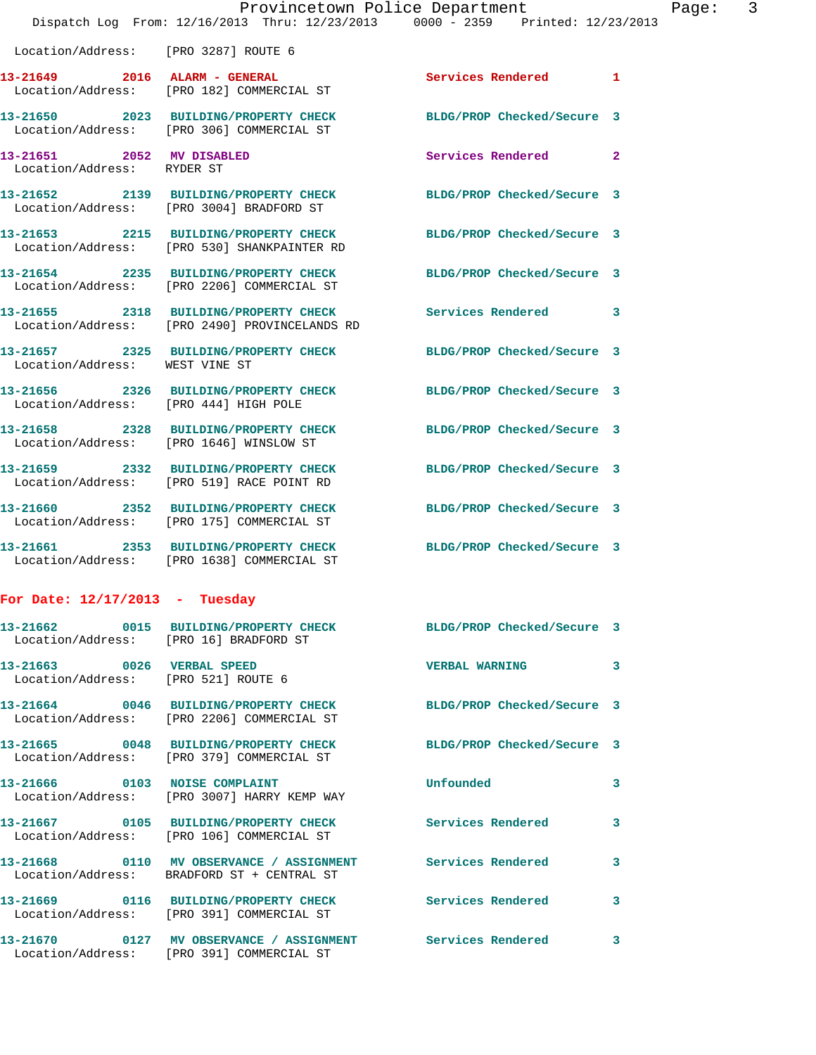|                                                         | Provincetown Police Department<br>Dispatch Log From: 12/16/2013 Thru: 12/23/2013 0000 - 2359 Printed: 12/23/2013 |                            |                |
|---------------------------------------------------------|------------------------------------------------------------------------------------------------------------------|----------------------------|----------------|
| Location/Address: [PRO 3287] ROUTE 6                    |                                                                                                                  |                            |                |
|                                                         | 13-21649 2016 ALARM - GENERAL<br>Location/Address: [PRO 182] COMMERCIAL ST                                       | Services Rendered          | $\mathbf{1}$   |
|                                                         | 13-21650 2023 BUILDING/PROPERTY CHECK BLDG/PROP Checked/Secure 3<br>Location/Address: [PRO 306] COMMERCIAL ST    |                            |                |
| 13-21651 2052 MV DISABLED<br>Location/Address: RYDER ST |                                                                                                                  | Services Rendered          | $\overline{a}$ |
|                                                         | 13-21652 2139 BUILDING/PROPERTY CHECK BLDG/PROP Checked/Secure 3<br>Location/Address: [PRO 3004] BRADFORD ST     |                            |                |
|                                                         | 13-21653 2215 BUILDING/PROPERTY CHECK BLDG/PROP Checked/Secure 3<br>Location/Address: [PRO 530] SHANKPAINTER RD  |                            |                |
|                                                         | 13-21654 2235 BUILDING/PROPERTY CHECK<br>Location/Address: [PRO 2206] COMMERCIAL ST                              | BLDG/PROP Checked/Secure 3 |                |
|                                                         | 13-21655 2318 BUILDING/PROPERTY CHECK Services Rendered<br>Location/Address: [PRO 2490] PROVINCELANDS RD         |                            | 3              |
|                                                         | 13-21657 2325 BUILDING/PROPERTY CHECK BLDG/PROP Checked/Secure 3                                                 |                            |                |

 Location/Address: [PRO 175] COMMERCIAL ST **13-21661 2353 BUILDING/PROPERTY CHECK BLDG/PROP Checked/Secure 3**  Location/Address: [PRO 1638] COMMERCIAL ST

**13-21656 2326 BUILDING/PROPERTY CHECK BLDG/PROP Checked/Secure 3** 

**13-21658 2328 BUILDING/PROPERTY CHECK BLDG/PROP Checked/Secure 3** 

**13-21659 2332 BUILDING/PROPERTY CHECK BLDG/PROP Checked/Secure 3** 

**13-21660 2352 BUILDING/PROPERTY CHECK BLDG/PROP Checked/Secure 3** 

## **For Date: 12/17/2013 - Tuesday**

Location/Address: WEST VINE ST

Location/Address: [PRO 444] HIGH POLE

Location/Address: [PRO 1646] WINSLOW ST

Location/Address: [PRO 519] RACE POINT RD

| Location/Address: [PRO 16] BRADFORD ST                            | 13-21662 0015 BUILDING/PROPERTY CHECK BLDG/PROP Checked/Secure 3                                               |                            |              |
|-------------------------------------------------------------------|----------------------------------------------------------------------------------------------------------------|----------------------------|--------------|
| 13-21663 0026 VERBAL SPEED<br>Location/Address: [PRO 521] ROUTE 6 |                                                                                                                | <b>VERBAL WARNING</b>      | $\mathbf{3}$ |
|                                                                   | 13-21664 0046 BUILDING/PROPERTY CHECK BLDG/PROP Checked/Secure 3<br>Location/Address: [PRO 2206] COMMERCIAL ST |                            |              |
|                                                                   | 13-21665 0048 BUILDING/PROPERTY CHECK<br>Location/Address: [PRO 379] COMMERCIAL ST                             | BLDG/PROP Checked/Secure 3 |              |
|                                                                   | 13-21666 0103 NOISE COMPLAINT<br>Location/Address: [PRO 3007] HARRY KEMP WAY                                   | Unfounded                  | 3            |
|                                                                   | Location/Address: [PRO 106] COMMERCIAL ST                                                                      | Services Rendered          | $\mathbf{3}$ |
|                                                                   | 13-21668 6110 MV OBSERVANCE / ASSIGNMENT Services Rendered<br>Location/Address: BRADFORD ST + CENTRAL ST       |                            | $\mathbf{3}$ |
|                                                                   | 13-21669 0116 BUILDING/PROPERTY CHECK Services Rendered<br>Location/Address: [PRO 391] COMMERCIAL ST           |                            | $\mathbf{3}$ |
|                                                                   | Location/Address: [PRO 391] COMMERCIAL ST                                                                      |                            | $\mathbf{3}$ |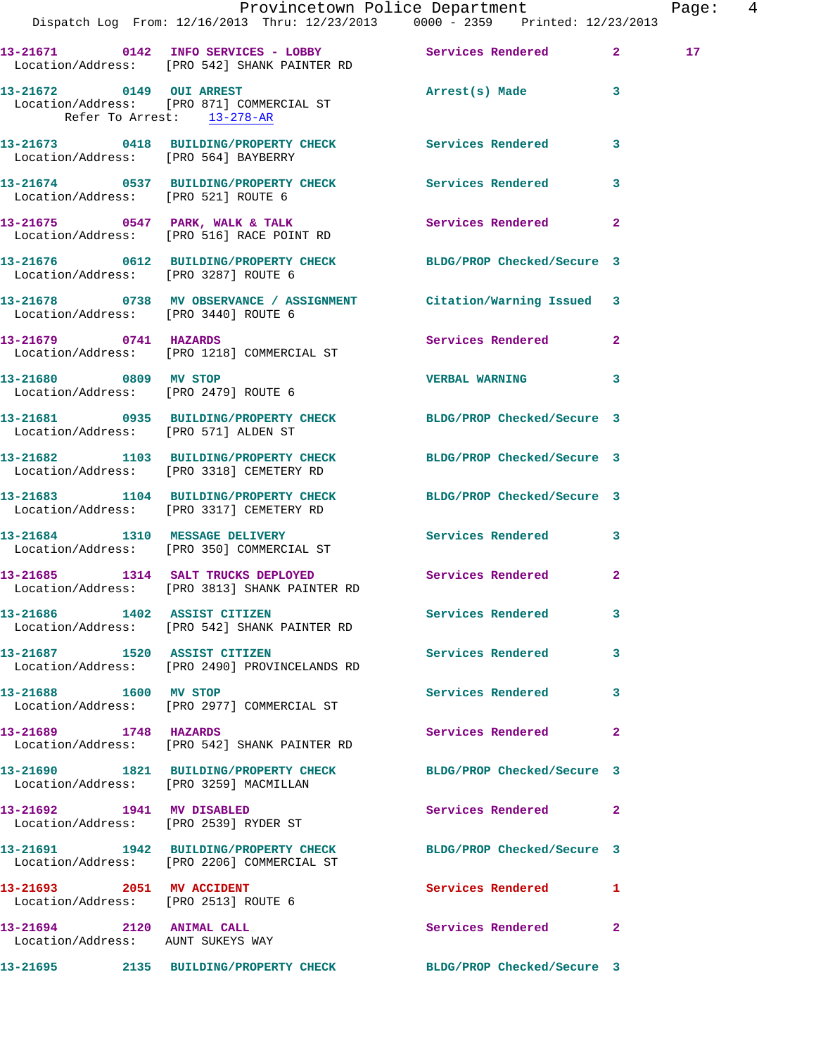|                                                                   | Dispatch Log From: 12/16/2013 Thru: 12/23/2013 0000 - 2359 Printed: 12/23/2013                                            | Provincetown Police Department    | Page: 4         |
|-------------------------------------------------------------------|---------------------------------------------------------------------------------------------------------------------------|-----------------------------------|-----------------|
|                                                                   | 13-21671 0142 INFO SERVICES - LOBBY Services Rendered 2<br>Location/Address: [PRO 542] SHANK PAINTER RD                   |                                   | 17 <sub>1</sub> |
|                                                                   | 13-21672 0149 OUI ARREST 2008 Arrest(s) Made 3<br>Location/Address: [PRO 871] COMMERCIAL ST<br>Refer To Arrest: 13-278-AR |                                   |                 |
| Location/Address: [PRO 564] BAYBERRY                              | 13-21673 0418 BUILDING/PROPERTY CHECK Services Rendered 3                                                                 |                                   |                 |
| Location/Address: [PRO 521] ROUTE 6                               | 13-21674 0537 BUILDING/PROPERTY CHECK Services Rendered 3                                                                 |                                   |                 |
|                                                                   | 13-21675 0547 PARK, WALK & TALK Services Rendered 2<br>Location/Address: [PRO 516] RACE POINT RD                          |                                   |                 |
| Location/Address: [PRO 3287] ROUTE 6                              | 13-21676 0612 BUILDING/PROPERTY CHECK BLDG/PROP Checked/Secure 3                                                          |                                   |                 |
| Location/Address: [PRO 3440] ROUTE 6                              | 13-21678 0738 MV OBSERVANCE / ASSIGNMENT Citation/Warning Issued 3                                                        |                                   |                 |
|                                                                   | 13-21679 0741 HAZARDS<br>Location/Address: [PRO 1218] COMMERCIAL ST                                                       | Services Rendered 2               |                 |
| 13-21680 0809 MV STOP                                             | Location/Address: [PRO 2479] ROUTE 6                                                                                      | VERBAL WARNING 3                  |                 |
|                                                                   | 13-21681 0935 BUILDING/PROPERTY CHECK BLDG/PROP Checked/Secure 3<br>Location/Address: [PRO 571] ALDEN ST                  |                                   |                 |
|                                                                   | 13-21682 1103 BUILDING/PROPERTY CHECK BLDG/PROP Checked/Secure 3<br>Location/Address: [PRO 3318] CEMETERY RD              |                                   |                 |
|                                                                   | 13-21683 1104 BUILDING/PROPERTY CHECK BLDG/PROP Checked/Secure 3<br>Location/Address: [PRO 3317] CEMETERY RD              |                                   |                 |
|                                                                   | 13-21684 1310 MESSAGE DELIVERY<br>Location/Address: [PRO 350] COMMERCIAL ST                                               | Services Rendered 3               |                 |
|                                                                   | 13-21685 1314 SALT TRUCKS DEPLOYED Services Rendered 2<br>Location/Address: [PRO 3813] SHANK PAINTER RD                   |                                   |                 |
|                                                                   | 13-21686 1402 ASSIST CITIZEN<br>Location/Address: [PRO 542] SHANK PAINTER RD                                              | Services Rendered 3               |                 |
|                                                                   | 13-21687 1520 ASSIST CITIZEN<br>Location/Address: [PRO 2490] PROVINCELANDS RD                                             | Services Rendered 3               |                 |
| 13-21688 1600 MV STOP                                             | Location/Address: [PRO 2977] COMMERCIAL ST                                                                                | Services Rendered 3               |                 |
| 13-21689 1748 HAZARDS                                             | Location/Address: [PRO 542] SHANK PAINTER RD                                                                              | Services Rendered<br>$\mathbf{2}$ |                 |
| Location/Address: [PRO 3259] MACMILLAN                            | 13-21690 1821 BUILDING/PROPERTY CHECK BLDG/PROP Checked/Secure 3                                                          |                                   |                 |
| 13-21692 1941 MV DISABLED                                         | Location/Address: [PRO 2539] RYDER ST                                                                                     | Services Rendered 2               |                 |
|                                                                   | 13-21691 1942 BUILDING/PROPERTY CHECK BLDG/PROP Checked/Secure 3<br>Location/Address: [PRO 2206] COMMERCIAL ST            |                                   |                 |
| 13-21693 2051 MV ACCIDENT<br>Location/Address: [PRO 2513] ROUTE 6 |                                                                                                                           | Services Rendered 1               |                 |
| 13-21694 2120 ANIMAL CALL<br>Location/Address: AUNT SUKEYS WAY    |                                                                                                                           | Services Rendered<br>$\mathbf{2}$ |                 |
|                                                                   | 13-21695 2135 BUILDING/PROPERTY CHECK BLDG/PROP Checked/Secure 3                                                          |                                   |                 |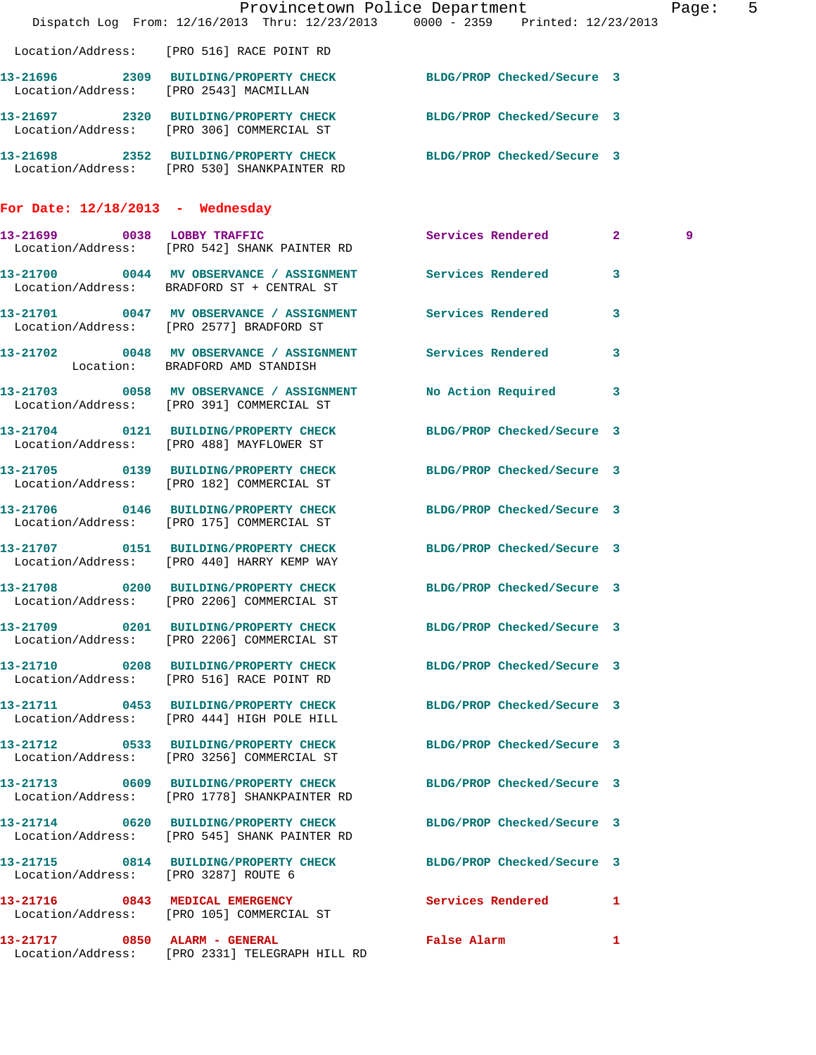|                                      | Dispatch Log From: 12/16/2013 Thru: 12/23/2013 0000 - 2359 Printed: 12/23/2013                                   | Provincetown Police Department | Page: 5      |  |
|--------------------------------------|------------------------------------------------------------------------------------------------------------------|--------------------------------|--------------|--|
|                                      | Location/Address: [PRO 516] RACE POINT RD                                                                        |                                |              |  |
|                                      | 13-21696 2309 BUILDING/PROPERTY CHECK BLDG/PROP Checked/Secure 3<br>Location/Address: [PRO 2543] MACMILLAN       |                                |              |  |
|                                      | 13-21697 2320 BUILDING/PROPERTY CHECK BLDG/PROP Checked/Secure 3<br>Location/Address: [PRO 306] COMMERCIAL ST    |                                |              |  |
|                                      | 13-21698 2352 BUILDING/PROPERTY CHECK BLDG/PROP Checked/Secure 3<br>Location/Address: [PRO 530] SHANKPAINTER RD  |                                |              |  |
| For Date: $12/18/2013$ - Wednesday   |                                                                                                                  |                                |              |  |
|                                      | 13-21699 0038 LOBBY TRAFFIC Services Rendered 2<br>Location/Address: [PRO 542] SHANK PAINTER RD                  |                                | 9            |  |
|                                      | 13-21700 0044 MV OBSERVANCE / ASSIGNMENT Services Rendered<br>Location/Address: BRADFORD ST + CENTRAL ST         |                                | 3            |  |
|                                      | 13-21701 0047 MV OBSERVANCE / ASSIGNMENT Services Rendered 3<br>Location/Address: [PRO 2577] BRADFORD ST         |                                |              |  |
|                                      | 13-21702 0048 MV OBSERVANCE / ASSIGNMENT Services Rendered<br>Location: BRADFORD AMD STANDISH                    |                                | 3            |  |
|                                      | 13-21703 0058 MV OBSERVANCE / ASSIGNMENT<br>Location/Address: [PRO 391] COMMERCIAL ST                            | No Action Required 3           |              |  |
|                                      | 13-21704 0121 BUILDING/PROPERTY CHECK BLDG/PROP Checked/Secure 3<br>Location/Address: [PRO 488] MAYFLOWER ST     |                                |              |  |
|                                      | 13-21705 0139 BUILDING/PROPERTY CHECK BLDG/PROP Checked/Secure 3<br>Location/Address: [PRO 182] COMMERCIAL ST    |                                |              |  |
|                                      | 13-21706 0146 BUILDING/PROPERTY CHECK<br>Location/Address: [PRO 175] COMMERCIAL ST                               | BLDG/PROP Checked/Secure 3     |              |  |
|                                      | 13-21707 0151 BUILDING/PROPERTY CHECK BLDG/PROP Checked/Secure 3<br>Location/Address: [PRO 440] HARRY KEMP WAY   |                                |              |  |
|                                      | 13-21708 0200 BUILDING/PROPERTY CHECK BLDG/PROP Checked/Secure 3<br>Location/Address: [PRO 2206] COMMERCIAL ST   |                                |              |  |
|                                      | 13-21709 0201 BUILDING/PROPERTY CHECK BLDG/PROP Checked/Secure 3<br>Location/Address: [PRO 2206] COMMERCIAL ST   |                                |              |  |
|                                      | 13-21710 0208 BUILDING/PROPERTY CHECK BLDG/PROP Checked/Secure 3<br>Location/Address: [PRO 516] RACE POINT RD    |                                |              |  |
|                                      | 13-21711 0453 BUILDING/PROPERTY CHECK BLDG/PROP Checked/Secure 3<br>Location/Address: [PRO 444] HIGH POLE HILL   |                                |              |  |
|                                      | 13-21712 0533 BUILDING/PROPERTY CHECK BLDG/PROP Checked/Secure 3<br>Location/Address: [PRO 3256] COMMERCIAL ST   |                                |              |  |
|                                      | 13-21713 0609 BUILDING/PROPERTY CHECK BLDG/PROP Checked/Secure 3<br>Location/Address: [PRO 1778] SHANKPAINTER RD |                                |              |  |
|                                      | 13-21714 0620 BUILDING/PROPERTY CHECK BLDG/PROP Checked/Secure 3<br>Location/Address: [PRO 545] SHANK PAINTER RD |                                |              |  |
| Location/Address: [PRO 3287] ROUTE 6 | 13-21715 0814 BUILDING/PROPERTY CHECK BLDG/PROP Checked/Secure 3                                                 |                                |              |  |
|                                      | 13-21716 0843 MEDICAL EMERGENCY<br>Location/Address: [PRO 105] COMMERCIAL ST                                     | <b>Services Rendered</b> 1     |              |  |
|                                      | 13-21717 0850 ALARM - GENERAL<br>Location/Address: [PRO 2331] TELEGRAPH HILL RD                                  | False Alarm                    | $\mathbf{1}$ |  |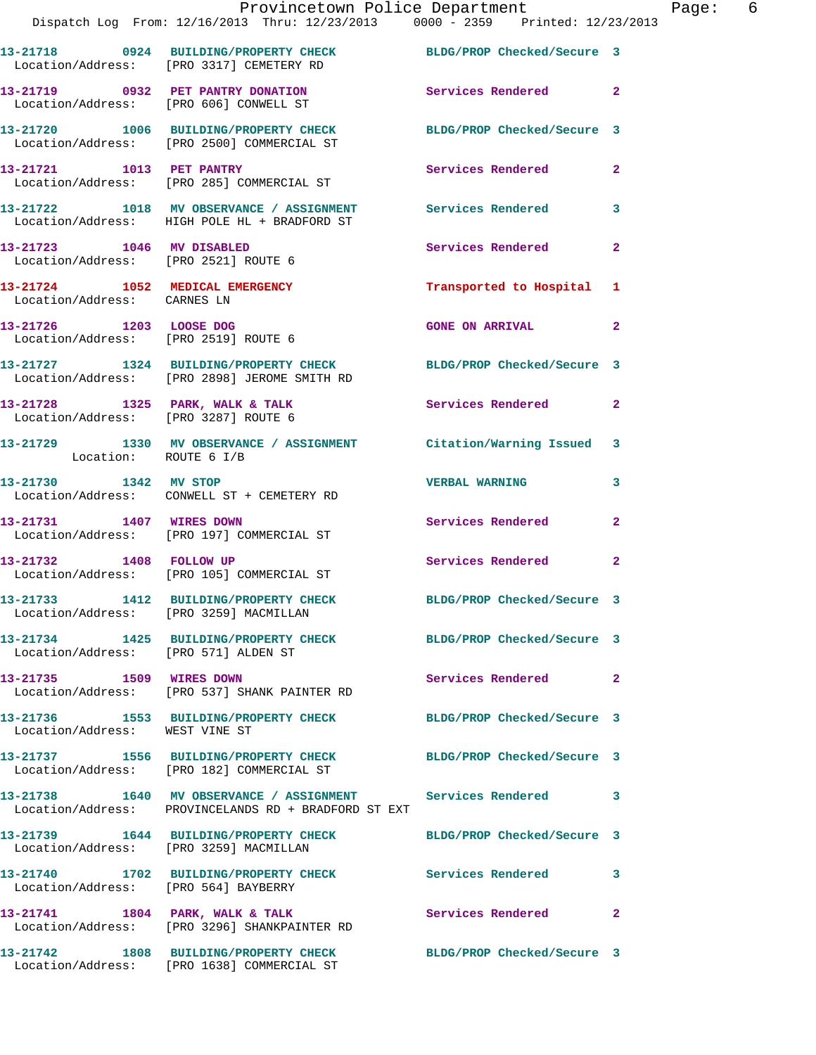|                                                                 | Provincetown Police Department<br>Dispatch Log From: 12/16/2013 Thru: 12/23/2013 0000 - 2359 Printed: 12/23/2013   |                            |                |
|-----------------------------------------------------------------|--------------------------------------------------------------------------------------------------------------------|----------------------------|----------------|
|                                                                 | 13-21718 0924 BUILDING/PROPERTY CHECK BLDG/PROP Checked/Secure 3<br>Location/Address: [PRO 3317] CEMETERY RD       |                            |                |
|                                                                 | 13-21719 0932 PET PANTRY DONATION<br>Location/Address: [PRO 606] CONWELL ST                                        | Services Rendered          | $\overline{2}$ |
|                                                                 | 13-21720 1006 BUILDING/PROPERTY CHECK BLDG/PROP Checked/Secure 3<br>Location/Address: [PRO 2500] COMMERCIAL ST     |                            |                |
| 13-21721 1013 PET PANTRY                                        | Location/Address: [PRO 285] COMMERCIAL ST                                                                          | Services Rendered          | $\overline{2}$ |
|                                                                 | 13-21722 1018 MV OBSERVANCE / ASSIGNMENT Services Rendered<br>Location/Address: HIGH POLE HL + BRADFORD ST         |                            | 3              |
| 13-21723 1046 MV DISABLED                                       | Location/Address: [PRO 2521] ROUTE 6                                                                               | Services Rendered          | $\overline{2}$ |
| 13-21724 1052 MEDICAL EMERGENCY<br>Location/Address: CARNES LN  |                                                                                                                    | Transported to Hospital    | 1              |
| 13-21726 1203 LOOSE DOG<br>Location/Address: [PRO 2519] ROUTE 6 |                                                                                                                    | <b>GONE ON ARRIVAL</b>     | $\mathbf{2}$   |
|                                                                 | 13-21727 1324 BUILDING/PROPERTY CHECK BLDG/PROP Checked/Secure 3<br>Location/Address: [PRO 2898] JEROME SMITH RD   |                            |                |
| Location/Address: [PRO 3287] ROUTE 6                            | 13-21728 1325 PARK, WALK & TALK                                                                                    | <b>Services Rendered</b>   | $\mathbf{2}$   |
| Location: ROUTE 6 I/B                                           | 13-21729 1330 MV OBSERVANCE / ASSIGNMENT Citation/Warning Issued                                                   |                            | 3              |
| 13-21730 1342 MV STOP                                           | Location/Address: CONWELL ST + CEMETERY RD                                                                         | <b>VERBAL WARNING</b>      | 3              |
| 13-21731 1407 WIRES DOWN                                        | Location/Address: [PRO 197] COMMERCIAL ST                                                                          | Services Rendered          | $\overline{a}$ |
|                                                                 | 13-21732 1408 FOLLOW UP<br>Location/Address: [PRO 105] COMMERCIAL ST                                               | <b>Services Rendered</b>   | 2              |
| Location/Address: [PRO 3259] MACMILLAN                          | 13-21733 1412 BUILDING/PROPERTY CHECK                                                                              | BLDG/PROP Checked/Secure 3 |                |
| Location/Address: [PRO 571] ALDEN ST                            | 13-21734 1425 BUILDING/PROPERTY CHECK BLDG/PROP Checked/Secure 3                                                   |                            |                |
| 13-21735 1509 WIRES DOWN                                        | Location/Address: [PRO 537] SHANK PAINTER RD                                                                       | Services Rendered          | 2              |
| Location/Address: WEST VINE ST                                  | 13-21736 1553 BUILDING/PROPERTY CHECK BLDG/PROP Checked/Secure 3                                                   |                            |                |
|                                                                 | 13-21737 1556 BUILDING/PROPERTY CHECK<br>Location/Address: [PRO 182] COMMERCIAL ST                                 | BLDG/PROP Checked/Secure 3 |                |
|                                                                 | 13-21738 1640 MV OBSERVANCE / ASSIGNMENT Services Rendered<br>Location/Address: PROVINCELANDS RD + BRADFORD ST EXT |                            | 3              |
|                                                                 | 13-21739  1644 BUILDING/PROPERTY CHECK<br>Location/Address: [PRO 3259] MACMILLAN                                   | BLDG/PROP Checked/Secure 3 |                |
| Location/Address: [PRO 564] BAYBERRY                            | 13-21740 1702 BUILDING/PROPERTY CHECK                                                                              | Services Rendered          | 3              |
|                                                                 | 13-21741 1804 PARK, WALK & TALK<br>Location/Address: [PRO 3296] SHANKPAINTER RD                                    | <b>Services Rendered</b>   | $\overline{2}$ |
|                                                                 | 13-21742 1808 BUILDING/PROPERTY CHECK                                                                              | BLDG/PROP Checked/Secure 3 |                |

Location/Address: [PRO 1638] COMMERCIAL ST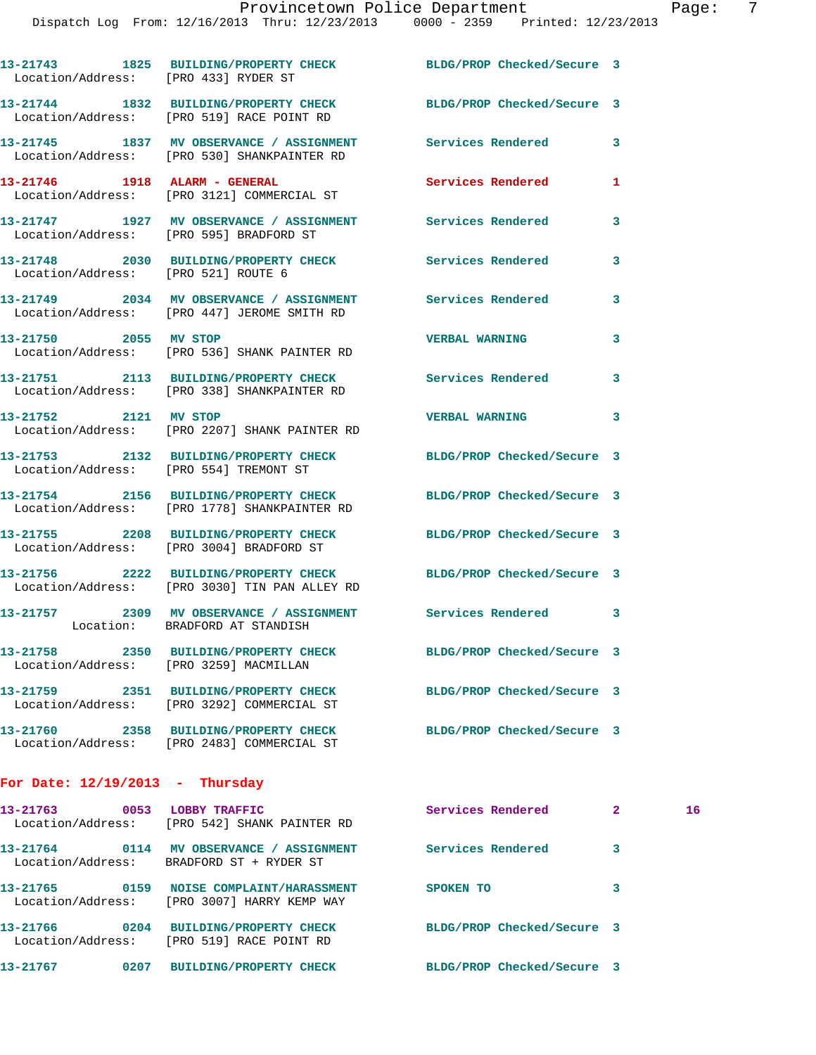Dispatch Log From: 12/16/2013 Thru: 12/23/2013 0000 - 2359 Printed: 12/23/2013

**13-21743 1825 BUILDING/PROPERTY CHECK BLDG/PROP Checked/Secure 3**  Location/Address: [PRO 433] RYDER ST **13-21744 1832 BUILDING/PROPERTY CHECK BLDG/PROP Checked/Secure 3**  Location/Address: [PRO 519] RACE POINT RD **13-21745 1837 MV OBSERVANCE / ASSIGNMENT Services Rendered 3**  Location/Address: [PRO 530] SHANKPAINTER RD **13-21746 1918 ALARM - GENERAL Services Rendered 1**  Location/Address: [PRO 3121] COMMERCIAL ST **13-21747 1927 MV OBSERVANCE / ASSIGNMENT Services Rendered 3**  Location/Address: [PRO 595] BRADFORD ST **13-21748 2030 BUILDING/PROPERTY CHECK Services Rendered 3**  Location/Address: [PRO 521] ROUTE 6 **13-21749 2034 MV OBSERVANCE / ASSIGNMENT Services Rendered 3**  Location/Address: [PRO 447] JEROME SMITH RD **13-21750 2055 MV STOP VERBAL WARNING 3**  Location/Address: [PRO 536] SHANK PAINTER RD **13-21751 2113 BUILDING/PROPERTY CHECK Services Rendered 3**  Location/Address: [PRO 338] SHANKPAINTER RD **13-21752 2121 MV STOP VERBAL WARNING 3**  Location/Address: [PRO 2207] SHANK PAINTER RD **13-21753 2132 BUILDING/PROPERTY CHECK BLDG/PROP Checked/Secure 3**  Location/Address: [PRO 554] TREMONT ST **13-21754 2156 BUILDING/PROPERTY CHECK BLDG/PROP Checked/Secure 3**  Location/Address: [PRO 1778] SHANKPAINTER RD **13-21755 2208 BUILDING/PROPERTY CHECK BLDG/PROP Checked/Secure 3**  Location/Address: [PRO 3004] BRADFORD ST **13-21756 2222 BUILDING/PROPERTY CHECK BLDG/PROP Checked/Secure 3**  Location/Address: [PRO 3030] TIN PAN ALLEY RD **13-21757 2309 MV OBSERVANCE / ASSIGNMENT Services Rendered 3**  Location: BRADFORD AT STANDISH **13-21758 2350 BUILDING/PROPERTY CHECK BLDG/PROP Checked/Secure 3**  Location/Address: [PRO 3259] MACMILLAN **13-21759 2351 BUILDING/PROPERTY CHECK BLDG/PROP Checked/Secure 3**  Location/Address: [PRO 3292] COMMERCIAL ST **13-21760 2358 BUILDING/PROPERTY CHECK BLDG/PROP Checked/Secure 3**  Location/Address: [PRO 2483] COMMERCIAL ST **For Date: 12/19/2013 - Thursday 13-21763 0053 LOBBY TRAFFIC Services Rendered 2 16**  Location/Address: [PRO 542] SHANK PAINTER RD **13-21764 0114 MV OBSERVANCE / ASSIGNMENT Services Rendered 3**  Location/Address: BRADFORD ST + RYDER ST **13-21765 0159 NOISE COMPLAINT/HARASSMENT SPOKEN TO 3**  Location/Address: [PRO 3007] HARRY KEMP WAY

**13-21766 0204 BUILDING/PROPERTY CHECK BLDG/PROP Checked/Secure 3**  Location/Address: [PRO 519] RACE POINT RD

**13-21767 0207 BUILDING/PROPERTY CHECK BLDG/PROP Checked/Secure 3**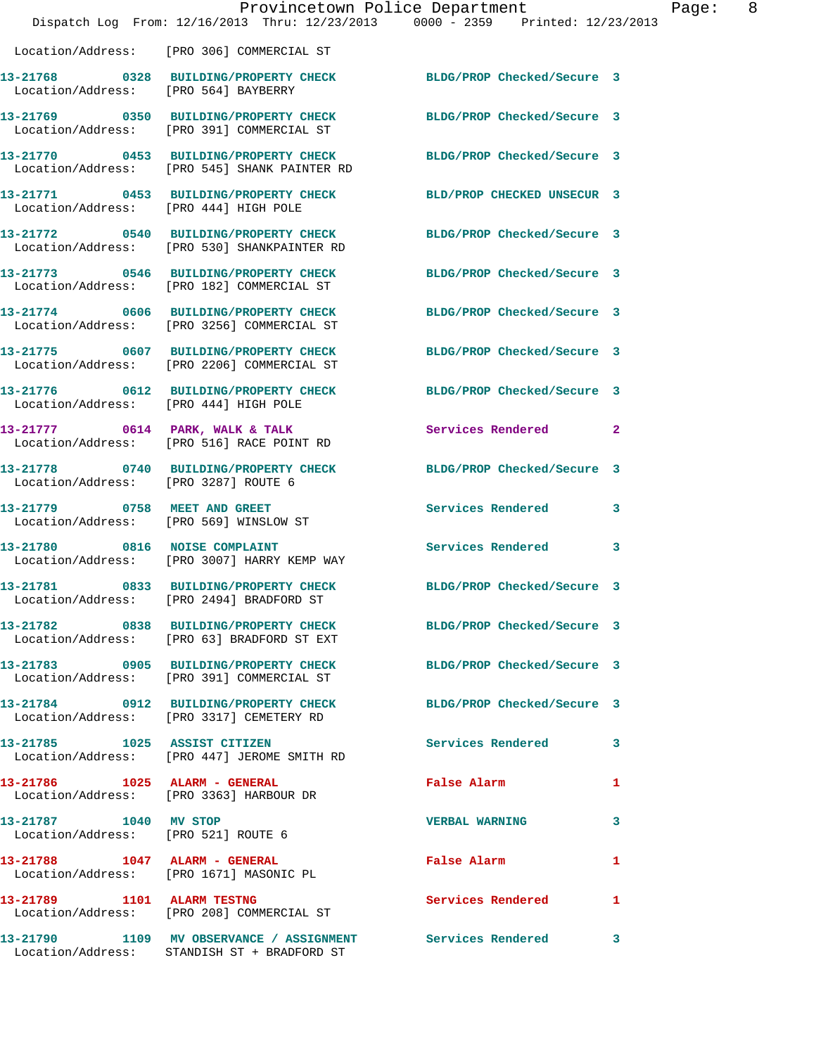|                                                              |                                                                                                                  | Provincetown Police Department | Page: 8 |
|--------------------------------------------------------------|------------------------------------------------------------------------------------------------------------------|--------------------------------|---------|
|                                                              | Dispatch Log From: 12/16/2013 Thru: 12/23/2013 0000 - 2359 Printed: 12/23/2013                                   |                                |         |
|                                                              | Location/Address: [PRO 306] COMMERCIAL ST                                                                        |                                |         |
|                                                              | 13-21768 0328 BUILDING/PROPERTY CHECK BLDG/PROP Checked/Secure 3<br>Location/Address: [PRO 564] BAYBERRY         |                                |         |
|                                                              | 13-21769 0350 BUILDING/PROPERTY CHECK BLDG/PROP Checked/Secure 3<br>Location/Address: [PRO 391] COMMERCIAL ST    |                                |         |
|                                                              | 13-21770 0453 BUILDING/PROPERTY CHECK BLDG/PROP Checked/Secure 3<br>Location/Address: [PRO 545] SHANK PAINTER RD |                                |         |
| Location/Address: [PRO 444] HIGH POLE                        | 13-21771 0453 BUILDING/PROPERTY CHECK BLD/PROP CHECKED UNSECUR 3                                                 |                                |         |
|                                                              | 13-21772 0540 BUILDING/PROPERTY CHECK BLDG/PROP Checked/Secure 3<br>Location/Address: [PRO 530] SHANKPAINTER RD  |                                |         |
|                                                              | 13-21773 0546 BUILDING/PROPERTY CHECK BLDG/PROP Checked/Secure 3<br>Location/Address: [PRO 182] COMMERCIAL ST    |                                |         |
|                                                              | 13-21774 0606 BUILDING/PROPERTY CHECK BLDG/PROP Checked/Secure 3<br>Location/Address: [PRO 3256] COMMERCIAL ST   |                                |         |
|                                                              | 13-21775 0607 BUILDING/PROPERTY CHECK BLDG/PROP Checked/Secure 3<br>Location/Address: [PRO 2206] COMMERCIAL ST   |                                |         |
| Location/Address: [PRO 444] HIGH POLE                        | 13-21776 0612 BUILDING/PROPERTY CHECK BLDG/PROP Checked/Secure 3                                                 |                                |         |
|                                                              | 13-21777 0614 PARK, WALK & TALK<br>Location/Address: [PRO 516] RACE POINT RD                                     | Services Rendered 2            |         |
|                                                              | 13-21778 0740 BUILDING/PROPERTY CHECK BLDG/PROP Checked/Secure 3<br>Location/Address: [PRO 3287] ROUTE 6         |                                |         |
|                                                              | 13-21779 0758 MEET AND GREET<br>Location/Address: [PRO 569] WINSLOW ST                                           | Services Rendered 3            |         |
|                                                              | 13-21780 0816 NOISE COMPLAINT<br>Location/Address: [PRO 3007] HARRY KEMP WAY                                     | Services Rendered 3            |         |
|                                                              | 13-21781 0833 BUILDING/PROPERTY CHECK<br>Location/Address: [PRO 2494] BRADFORD ST                                | BLDG/PROP Checked/Secure 3     |         |
|                                                              | 13-21782 0838 BUILDING/PROPERTY CHECK BLDG/PROP Checked/Secure 3<br>Location/Address: [PRO 63] BRADFORD ST EXT   |                                |         |
|                                                              | 13-21783 0905 BUILDING/PROPERTY CHECK BLDG/PROP Checked/Secure 3<br>Location/Address: [PRO 391] COMMERCIAL ST    |                                |         |
|                                                              | 13-21784 0912 BUILDING/PROPERTY CHECK BLDG/PROP Checked/Secure 3<br>Location/Address: [PRO 3317] CEMETERY RD     |                                |         |
|                                                              | 13-21785 1025 ASSIST CITIZEN<br>Location/Address: [PRO 447] JEROME SMITH RD                                      | Services Rendered 3            |         |
|                                                              | 13-21786 1025 ALARM - GENERAL<br>Location/Address: [PRO 3363] HARBOUR DR                                         | False Alarm                    | 1       |
| 13-21787 1040 MV STOP<br>Location/Address: [PRO 521] ROUTE 6 |                                                                                                                  | <b>VERBAL WARNING</b>          | 3       |
|                                                              | 13-21788 1047 ALARM - GENERAL<br>Location/Address: [PRO 1671] MASONIC PL                                         | False Alarm                    | 1       |
| 13-21789 1101 ALARM TESTNG                                   | Location/Address: [PRO 208] COMMERCIAL ST                                                                        | Services Rendered              | 1       |
|                                                              | 13-21790 1109 MV OBSERVANCE / ASSIGNMENT Services Rendered<br>Location/Address: STANDISH ST + BRADFORD ST        |                                | 3       |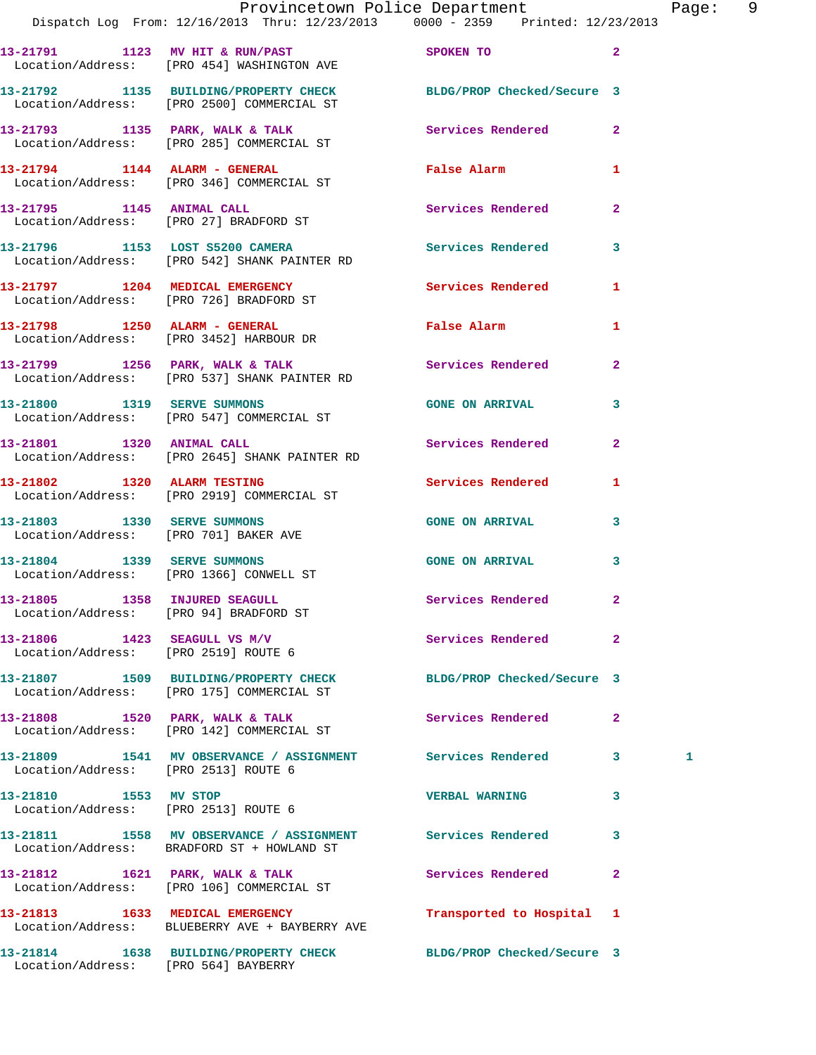|                                                                        | Provincetown Police Department                                                                                 |                            | Pag            |  |
|------------------------------------------------------------------------|----------------------------------------------------------------------------------------------------------------|----------------------------|----------------|--|
|                                                                        | Dispatch Log From: 12/16/2013 Thru: 12/23/2013 0000 - 2359 Printed: 12/23/2013                                 |                            |                |  |
|                                                                        | 13-21791 1123 MV HIT & RUN/PAST SPOKEN TO<br>Location/Address: [PRO 454] WASHINGTON AVE                        |                            | $\overline{2}$ |  |
|                                                                        | 13-21792 1135 BUILDING/PROPERTY CHECK BLDG/PROP Checked/Secure 3<br>Location/Address: [PRO 2500] COMMERCIAL ST |                            |                |  |
|                                                                        | 13-21793 1135 PARK, WALK & TALK 1988 Services Rendered<br>Location/Address: [PRO 285] COMMERCIAL ST            |                            | $\mathbf{2}$   |  |
|                                                                        | 13-21794 1144 ALARM - GENERAL<br>Location/Address: [PRO 346] COMMERCIAL ST                                     | False Alarm                | 1              |  |
|                                                                        | 13-21795 1145 ANIMAL CALL<br>Location/Address: [PRO 27] BRADFORD ST                                            | Services Rendered          | $\mathbf{2}$   |  |
|                                                                        | 13-21796 1153 LOST S5200 CAMERA 1 Services Rendered<br>Location/Address: [PRO 542] SHANK PAINTER RD            |                            | 3              |  |
|                                                                        | 13-21797 1204 MEDICAL EMERGENCY<br>Location/Address: [PRO 726] BRADFORD ST                                     | Services Rendered          | 1              |  |
|                                                                        | 13-21798 1250 ALARM - GENERAL<br>Location/Address: [PRO 3452] HARBOUR DR                                       | False Alarm                | 1              |  |
|                                                                        | 13-21799 1256 PARK, WALK & TALK<br>Location/Address: [PRO 537] SHANK PAINTER RD                                | Services Rendered          | $\overline{2}$ |  |
|                                                                        | 13-21800 1319 SERVE SUMMONS<br>Location/Address: [PRO 547] COMMERCIAL ST                                       | <b>GONE ON ARRIVAL</b>     | 3              |  |
|                                                                        | 13-21801 1320 ANIMAL CALL<br>Location/Address: [PRO 2645] SHANK PAINTER RD                                     | Services Rendered          | $\overline{2}$ |  |
|                                                                        | 13-21802 1320 ALARM TESTING<br>Location/Address: [PRO 2919] COMMERCIAL ST                                      | <b>Services Rendered</b>   | 1              |  |
|                                                                        | 13-21803 1330 SERVE SUMMONS<br>Location/Address: [PRO 701] BAKER AVE                                           | <b>GONE ON ARRIVAL</b>     | 3              |  |
|                                                                        | 13-21804 1339 SERVE SUMMONS<br>Location/Address: [PRO 1366] CONWELL ST                                         | <b>GONE ON ARRIVAL</b>     | 3              |  |
| Location/Address: [PRO 94] BRADFORD ST                                 | 13-21805 1358 INJURED SEAGULL                                                                                  | Services Rendered          | $\mathbf{2}$   |  |
| $13-21806$ 1423 SEAGULL VS M/V<br>Location/Address: [PRO 2519] ROUTE 6 |                                                                                                                | Services Rendered          | $\overline{2}$ |  |
|                                                                        | 13-21807 1509 BUILDING/PROPERTY CHECK<br>Location/Address: [PRO 175] COMMERCIAL ST                             | BLDG/PROP Checked/Secure 3 |                |  |
|                                                                        | 13-21808 1520 PARK, WALK & TALK<br>Location/Address: [PRO 142] COMMERCIAL ST                                   | Services Rendered          | $\mathbf{2}$   |  |
| Location/Address: [PRO 2513] ROUTE 6                                   | 13-21809 1541 MV OBSERVANCE / ASSIGNMENT Services Rendered                                                     |                            | 3<br>1         |  |
| 13-21810 1553 MV STOP<br>Location/Address: [PRO 2513] ROUTE 6          |                                                                                                                | <b>VERBAL WARNING</b>      | 3              |  |
|                                                                        | 13-21811 1558 MV OBSERVANCE / ASSIGNMENT Services Rendered<br>Location/Address: BRADFORD ST + HOWLAND ST       |                            | 3              |  |
|                                                                        | 13-21812 1621 PARK, WALK & TALK<br>Location/Address: [PRO 106] COMMERCIAL ST                                   | Services Rendered          | $\mathbf{2}$   |  |
|                                                                        | 13-21813 1633 MEDICAL EMERGENCY<br>Location/Address: BLUEBERRY AVE + BAYBERRY AVE                              | Transported to Hospital 1  |                |  |
|                                                                        |                                                                                                                |                            |                |  |

**13-21814 1638 BUILDING/PROPERTY CHECK BLDG/PROP Checked/Secure 3** 

Location/Address: [PRO 564] BAYBERRY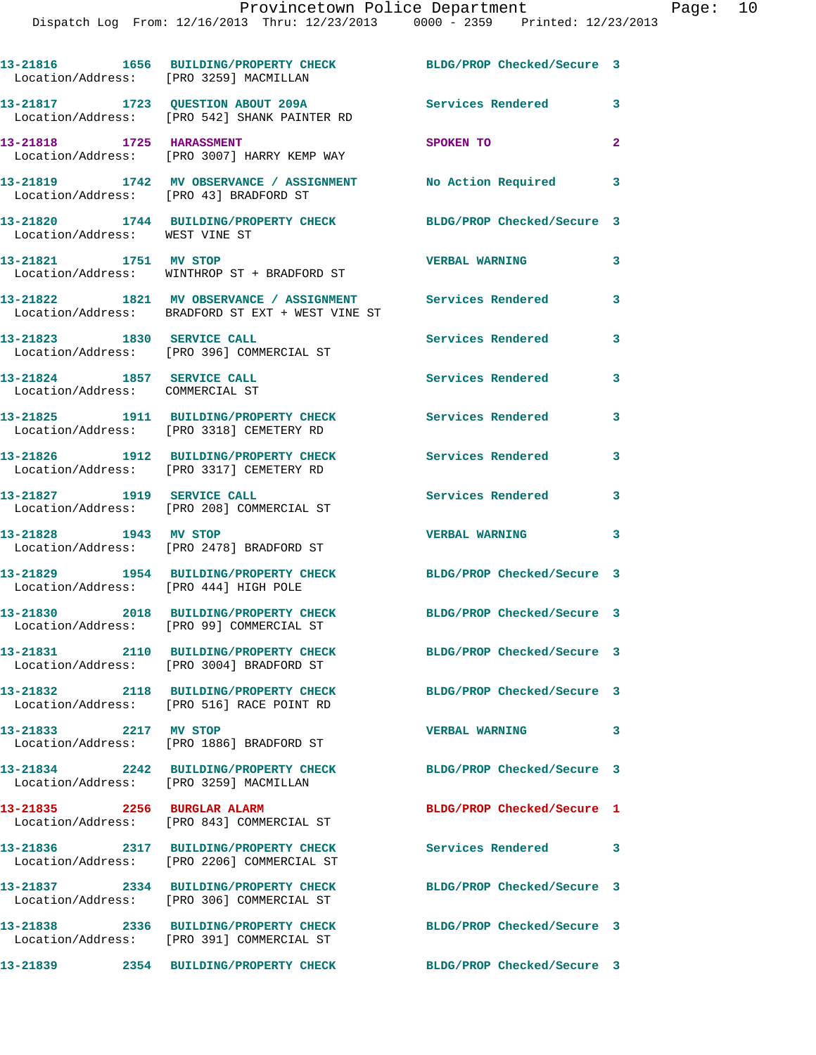Dispatch Log From: 12/16/2013 Thru: 12/23/2013 0000 - 2359 Printed: 12/23/2013

**13-21816 1656 BUILDING/PROPERTY CHECK BLDG/PROP Checked/Secure 3**  Location/Address: [PRO 3259] MACMILLAN **13-21817 1723 QUESTION ABOUT 209A Services Rendered 3**  Location/Address: [PRO 542] SHANK PAINTER RD **13-21818 1725 HARASSMENT SPOKEN TO 2**  Location/Address: [PRO 3007] HARRY KEMP WAY **13-21819 1742 MV OBSERVANCE / ASSIGNMENT No Action Required 3**  Location/Address: [PRO 43] BRADFORD ST **13-21820 1744 BUILDING/PROPERTY CHECK BLDG/PROP Checked/Secure 3**  Location/Address: WEST VINE ST **13-21821 1751 MV STOP VERBAL WARNING 3**  Location/Address: WINTHROP ST + BRADFORD ST **13-21822 1821 MV OBSERVANCE / ASSIGNMENT Services Rendered 3**  Location/Address: BRADFORD ST EXT + WEST VINE ST **13-21823 1830 SERVICE CALL Services Rendered 3**  Location/Address: [PRO 396] COMMERCIAL ST **13-21824 1857 SERVICE CALL Services Rendered 3**  Location/Address: COMMERCIAL ST **13-21825 1911 BUILDING/PROPERTY CHECK Services Rendered 3**  Location/Address: [PRO 3318] CEMETERY RD **13-21826 1912 BUILDING/PROPERTY CHECK Services Rendered 3**  Location/Address: [PRO 3317] CEMETERY RD **13-21827 1919 SERVICE CALL Services Rendered 3**  Location/Address: [PRO 208] COMMERCIAL ST **13-21828 1943 MV STOP VERBAL WARNING 3**  Location/Address: [PRO 2478] BRADFORD ST **13-21829 1954 BUILDING/PROPERTY CHECK BLDG/PROP Checked/Secure 3**  Location/Address: [PRO 444] HIGH POLE **13-21830 2018 BUILDING/PROPERTY CHECK BLDG/PROP Checked/Secure 3**  Location/Address: [PRO 99] COMMERCIAL ST **13-21831 2110 BUILDING/PROPERTY CHECK BLDG/PROP Checked/Secure 3**  Location/Address: [PRO 3004] BRADFORD ST **13-21832 2118 BUILDING/PROPERTY CHECK BLDG/PROP Checked/Secure 3**  Location/Address: [PRO 516] RACE POINT RD **13-21833 2217 MV STOP VERBAL WARNING 3**  Location/Address: [PRO 1886] BRADFORD ST **13-21834 2242 BUILDING/PROPERTY CHECK BLDG/PROP Checked/Secure 3**  Location/Address: [PRO 3259] MACMILLAN **13-21835 2256 BURGLAR ALARM BLDG/PROP Checked/Secure 1**  Location/Address: [PRO 843] COMMERCIAL ST **13-21836 2317 BUILDING/PROPERTY CHECK Services Rendered 3**  Location/Address: [PRO 2206] COMMERCIAL ST **13-21837 2334 BUILDING/PROPERTY CHECK BLDG/PROP Checked/Secure 3**  Location/Address: [PRO 306] COMMERCIAL ST **13-21838 2336 BUILDING/PROPERTY CHECK BLDG/PROP Checked/Secure 3**  Location/Address: [PRO 391] COMMERCIAL ST **13-21839 2354 BUILDING/PROPERTY CHECK BLDG/PROP Checked/Secure 3**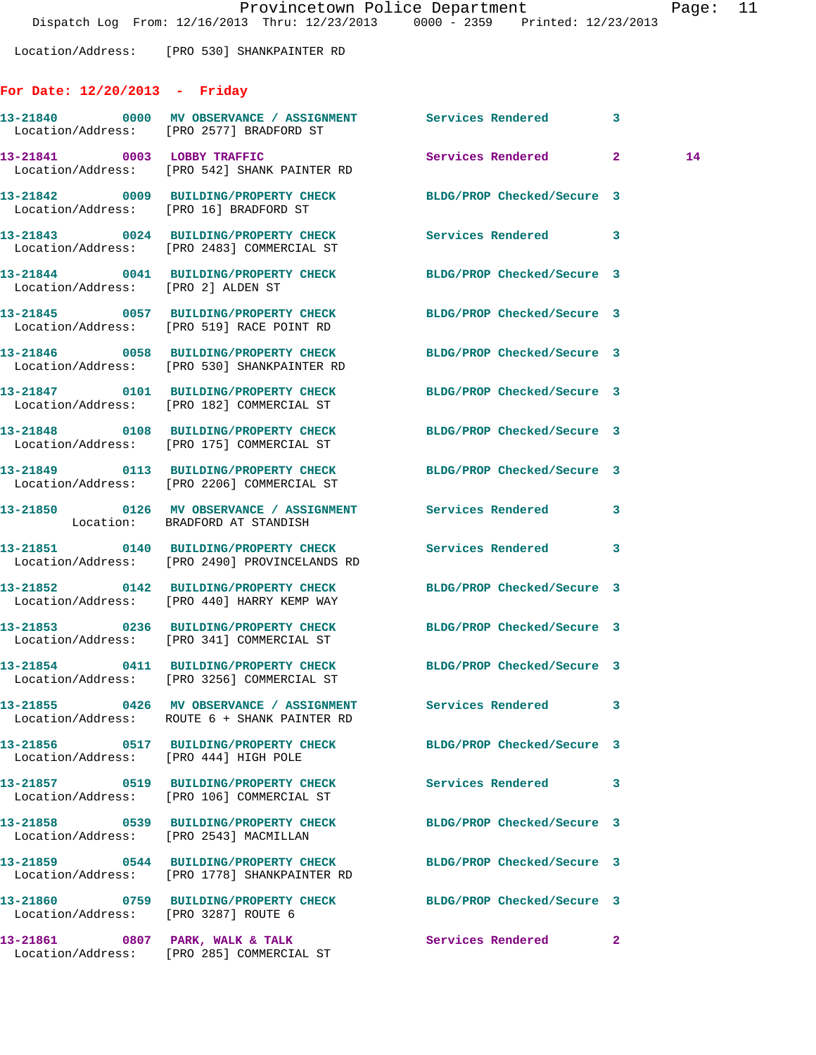Location/Address: [PRO 530] SHANKPAINTER RD

## **For Date: 12/20/2013 - Friday**

|                                       | 13-21840 0000 MV OBSERVANCE / ASSIGNMENT Services Rendered 3<br>Location/Address: [PRO 2577] BRADFORD ST        |                            |              |    |
|---------------------------------------|-----------------------------------------------------------------------------------------------------------------|----------------------------|--------------|----|
|                                       | 13-21841 0003 LOBBY TRAFFIC<br>Location/Address: [PRO 542] SHANK PAINTER RD                                     | Services Rendered 2        |              | 14 |
|                                       | 13-21842 0009 BUILDING/PROPERTY CHECK BLDG/PROP Checked/Secure 3<br>Location/Address: [PRO 16] BRADFORD ST      |                            |              |    |
|                                       | 13-21843 0024 BUILDING/PROPERTY CHECK<br>Location/Address: [PRO 2483] COMMERCIAL ST                             | Services Rendered 3        |              |    |
| Location/Address: [PRO 2] ALDEN ST    | 13-21844 0041 BUILDING/PROPERTY CHECK BLDG/PROP Checked/Secure 3                                                |                            |              |    |
|                                       | 13-21845 0057 BUILDING/PROPERTY CHECK BLDG/PROP Checked/Secure 3<br>Location/Address: [PRO 519] RACE POINT RD   |                            |              |    |
|                                       | 13-21846 0058 BUILDING/PROPERTY CHECK BLDG/PROP Checked/Secure 3<br>Location/Address: [PRO 530] SHANKPAINTER RD |                            |              |    |
|                                       | 13-21847 0101 BUILDING/PROPERTY CHECK BLDG/PROP Checked/Secure 3<br>Location/Address: [PRO 182] COMMERCIAL ST   |                            |              |    |
|                                       | 13-21848 0108 BUILDING/PROPERTY CHECK BLDG/PROP Checked/Secure 3<br>Location/Address: [PRO 175] COMMERCIAL ST   |                            |              |    |
|                                       | 13-21849 0113 BUILDING/PROPERTY CHECK BLDG/PROP Checked/Secure 3<br>Location/Address: [PRO 2206] COMMERCIAL ST  |                            |              |    |
|                                       | 13-21850 0126 MV OBSERVANCE / ASSIGNMENT Services Rendered 3<br>Location: BRADFORD AT STANDISH                  |                            |              |    |
|                                       | 13-21851 0140 BUILDING/PROPERTY CHECK<br>Location/Address: [PRO 2490] PROVINCELANDS RD                          | Services Rendered          | 3            |    |
|                                       | 13-21852 0142 BUILDING/PROPERTY CHECK<br>Location/Address: [PRO 440] HARRY KEMP WAY                             | BLDG/PROP Checked/Secure 3 |              |    |
|                                       | 13-21853 0236 BUILDING/PROPERTY CHECK<br>Location/Address: [PRO 341] COMMERCIAL ST                              | BLDG/PROP Checked/Secure 3 |              |    |
|                                       | 13-21854 0411 BUILDING/PROPERTY CHECK BLDG/PROP Checked/Secure 3<br>Location/Address: [PRO 3256] COMMERCIAL ST  |                            |              |    |
|                                       | 13-21855 0426 MV OBSERVANCE / ASSIGNMENT Services Rendered 3<br>Location/Address: ROUTE 6 + SHANK PAINTER RD    |                            |              |    |
| Location/Address: [PRO 444] HIGH POLE | 13-21856 0517 BUILDING/PROPERTY CHECK BLDG/PROP Checked/Secure 3                                                |                            |              |    |
|                                       | 13-21857 0519 BUILDING/PROPERTY CHECK Services Rendered<br>Location/Address: [PRO 106] COMMERCIAL ST            |                            | 3            |    |
|                                       | 13-21858 0539 BUILDING/PROPERTY CHECK<br>Location/Address: [PRO 2543] MACMILLAN                                 | BLDG/PROP Checked/Secure 3 |              |    |
|                                       | 13-21859 0544 BUILDING/PROPERTY CHECK<br>Location/Address: [PRO 1778] SHANKPAINTER RD                           | BLDG/PROP Checked/Secure 3 |              |    |
| Location/Address: [PRO 3287] ROUTE 6  | 13-21860 0759 BUILDING/PROPERTY CHECK BLDG/PROP Checked/Secure 3                                                |                            |              |    |
|                                       | 13-21861 0807 PARK, WALK & TALK<br>Location/Address: [PRO 285] COMMERCIAL ST                                    | Services Rendered          | $\mathbf{2}$ |    |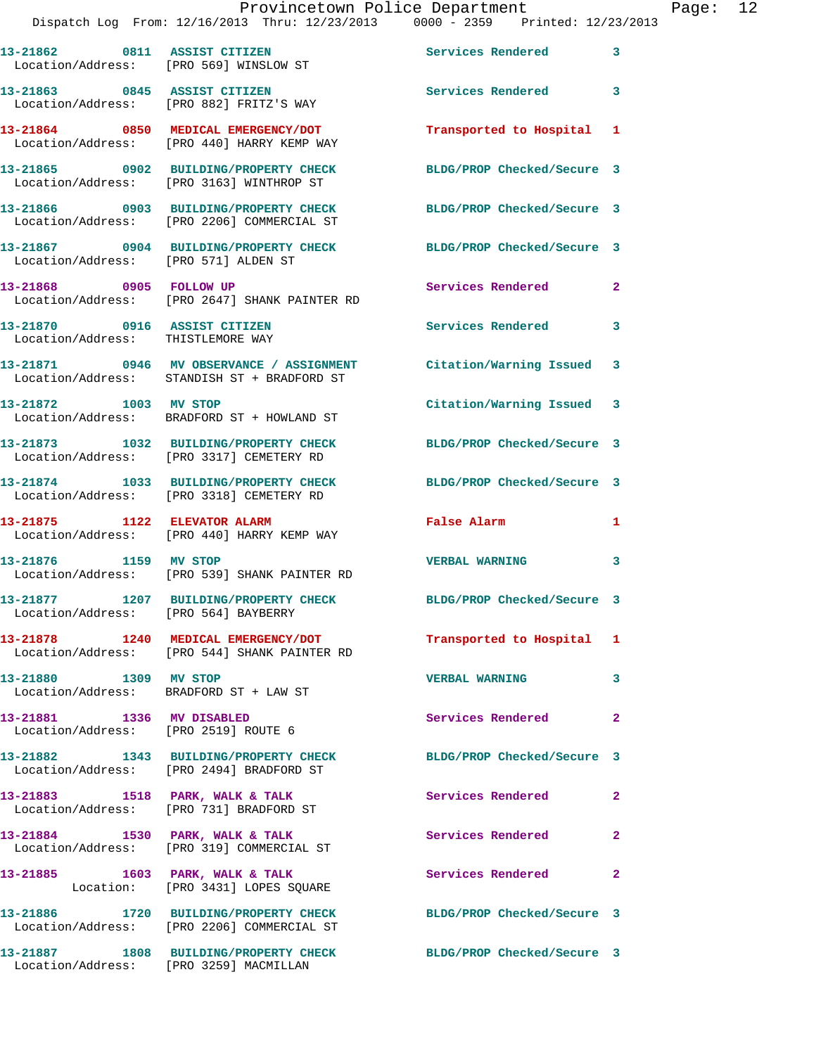|                                      | Dispatch Log From: 12/16/2013 Thru: 12/23/2013 0000 - 2359 Printed: 12/23/2013                                    | Provincetown Police Department |              | Page: 12 |  |
|--------------------------------------|-------------------------------------------------------------------------------------------------------------------|--------------------------------|--------------|----------|--|
|                                      | 13-21862 0811 ASSIST CITIZEN<br>Location/Address: [PRO 569] WINSLOW ST                                            | Services Rendered 3            |              |          |  |
|                                      | 13-21863 0845 ASSIST CITIZEN<br>Location/Address: [PRO 882] FRITZ'S WAY                                           | Services Rendered 3            |              |          |  |
|                                      | 13-21864 0850 MEDICAL EMERGENCY/DOT Transported to Hospital 1<br>Location/Address: [PRO 440] HARRY KEMP WAY       |                                |              |          |  |
|                                      | 13-21865 0902 BUILDING/PROPERTY CHECK BLDG/PROP Checked/Secure 3<br>Location/Address: [PRO 3163] WINTHROP ST      |                                |              |          |  |
|                                      | 13-21866 0903 BUILDING/PROPERTY CHECK BLDG/PROP Checked/Secure 3<br>Location/Address: [PRO 2206] COMMERCIAL ST    |                                |              |          |  |
| Location/Address: [PRO 571] ALDEN ST | 13-21867 0904 BUILDING/PROPERTY CHECK BLDG/PROP Checked/Secure 3                                                  |                                |              |          |  |
|                                      | 13-21868 0905 FOLLOW UP<br>Location/Address: [PRO 2647] SHANK PAINTER RD                                          | Services Rendered 2            |              |          |  |
| Location/Address: THISTLEMORE WAY    | 13-21870 0916 ASSIST CITIZEN                                                                                      | <b>Services Rendered</b>       | 3            |          |  |
|                                      | 13-21871 0946 MV OBSERVANCE / ASSIGNMENT Citation/Warning Issued 3<br>Location/Address: STANDISH ST + BRADFORD ST |                                |              |          |  |
|                                      | 13-21872 1003 MV STOP<br>Location/Address: BRADFORD ST + HOWLAND ST                                               | Citation/Warning Issued 3      |              |          |  |
|                                      | 13-21873 1032 BUILDING/PROPERTY CHECK BLDG/PROP Checked/Secure 3<br>Location/Address: [PRO 3317] CEMETERY RD      |                                |              |          |  |
|                                      | 13-21874 1033 BUILDING/PROPERTY CHECK BLDG/PROP Checked/Secure 3<br>Location/Address: [PRO 3318] CEMETERY RD      |                                |              |          |  |
|                                      | 13-21875 1122 ELEVATOR ALARM<br>Location/Address: [PRO 440] HARRY KEMP WAY                                        | False Alarm <b>Example 2</b>   | $\mathbf{1}$ |          |  |
|                                      | 13-21876 1159 MV STOP<br>Location/Address: [PRO 539] SHANK PAINTER RD                                             | <b>VERBAL WARNING</b>          | 3            |          |  |
| Location/Address: [PRO 564] BAYBERRY | 13-21877 1207 BUILDING/PROPERTY CHECK                                                                             | BLDG/PROP Checked/Secure 3     |              |          |  |
|                                      | 13-21878 1240 MEDICAL EMERGENCY/DOT Transported to Hospital 1<br>Location/Address: [PRO 544] SHANK PAINTER RD     |                                |              |          |  |
| 13-21880 1309 MV STOP                | Location/Address: BRADFORD ST + LAW ST                                                                            | <b>VERBAL WARNING</b>          | 3            |          |  |
| 13-21881 1336 MV DISABLED            | Location/Address: [PRO 2519] ROUTE 6                                                                              | <b>Services Rendered</b>       | $\mathbf{2}$ |          |  |
|                                      | 13-21882 1343 BUILDING/PROPERTY CHECK BLDG/PROP Checked/Secure 3<br>Location/Address: [PRO 2494] BRADFORD ST      |                                |              |          |  |
|                                      | 13-21883 1518 PARK, WALK & TALK<br>Location/Address: [PRO 731] BRADFORD ST                                        | Services Rendered              | $\mathbf{2}$ |          |  |
|                                      | 13-21884 1530 PARK, WALK & TALK<br>Location/Address: [PRO 319] COMMERCIAL ST                                      | Services Rendered              | $\mathbf{2}$ |          |  |
|                                      | 13-21885 1603 PARK, WALK & TALK<br>Location: [PRO 3431] LOPES SQUARE                                              | Services Rendered              | 2            |          |  |
|                                      | 13-21886 1720 BUILDING/PROPERTY CHECK BLDG/PROP Checked/Secure 3<br>Location/Address: [PRO 2206] COMMERCIAL ST    |                                |              |          |  |

**13-21887 1808 BUILDING/PROPERTY CHECK BLDG/PROP Checked/Secure 3** 

Location/Address: [PRO 3259] MACMILLAN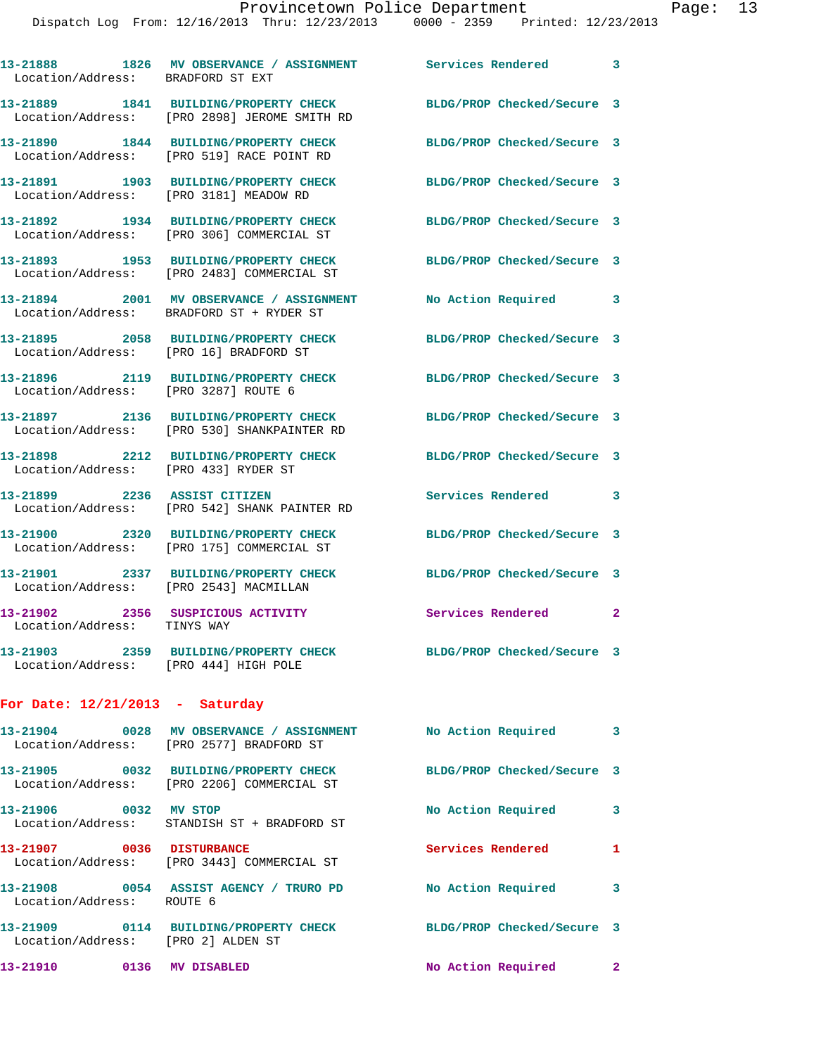| Location/Address: BRADFORD ST EXT      | 13-21888 1826 MV OBSERVANCE / ASSIGNMENT Services Rendered 3                                            |                            |              |
|----------------------------------------|---------------------------------------------------------------------------------------------------------|----------------------------|--------------|
|                                        | 13-21889 1841 BUILDING/PROPERTY CHECK<br>Location/Address: [PRO 2898] JEROME SMITH RD                   | BLDG/PROP Checked/Secure 3 |              |
| Location/Address:                      | 13-21890 1844 BUILDING/PROPERTY CHECK<br>[PRO 519] RACE POINT RD                                        | BLDG/PROP Checked/Secure 3 |              |
| Location/Address:                      | 13-21891 1903 BUILDING/PROPERTY CHECK<br>[PRO 3181] MEADOW RD                                           | BLDG/PROP Checked/Secure 3 |              |
|                                        | 13-21892 1934 BUILDING/PROPERTY CHECK<br>Location/Address: [PRO 306] COMMERCIAL ST                      | BLDG/PROP Checked/Secure 3 |              |
|                                        | 13-21893 1953 BUILDING/PROPERTY CHECK<br>Location/Address: [PRO 2483] COMMERCIAL ST                     | BLDG/PROP Checked/Secure 3 |              |
|                                        | 13-21894 2001 MV OBSERVANCE / ASSIGNMENT<br>Location/Address: BRADFORD ST + RYDER ST                    | No Action Required 3       |              |
| Location/Address: [PRO 16] BRADFORD ST | 13-21895 2058 BUILDING/PROPERTY CHECK                                                                   | BLDG/PROP Checked/Secure 3 |              |
| Location/Address: [PRO 3287] ROUTE 6   | 13-21896 2119 BUILDING/PROPERTY CHECK                                                                   | BLDG/PROP Checked/Secure 3 |              |
| Location/Address:                      | 13-21897  2136 BUILDING/PROPERTY CHECK<br>[PRO 530] SHANKPAINTER RD                                     | BLDG/PROP Checked/Secure 3 |              |
| Location/Address:                      | 13-21898 2212 BUILDING/PROPERTY CHECK<br>[PRO 433] RYDER ST                                             | BLDG/PROP Checked/Secure 3 |              |
|                                        | 13-21899 2236 ASSIST CITIZEN<br>Location/Address: [PRO 542] SHANK PAINTER RD                            | Services Rendered          | 3            |
| Location/Address:                      | 13-21900 2320 BUILDING/PROPERTY CHECK<br>[PRO 175] COMMERCIAL ST                                        | BLDG/PROP Checked/Secure 3 |              |
| Location/Address: [PRO 2543] MACMILLAN | 13-21901 2337 BUILDING/PROPERTY CHECK                                                                   | BLDG/PROP Checked/Secure 3 |              |
| Location/Address: TINYS WAY            | 13-21902 2356 SUSPICIOUS ACTIVITY                                                                       | Services Rendered          | $\mathbf{2}$ |
| Location/Address: [PRO 444] HIGH POLE  | 13-21903 2359 BUILDING/PROPERTY CHECK                                                                   | BLDG/PROP Checked/Secure 3 |              |
| For Date: $12/21/2013$ - Saturday      |                                                                                                         |                            |              |
|                                        | 13-21904 0028 MV OBSERVANCE / ASSIGNMENT No Action Required<br>Location/Address: [PRO 2577] BRADFORD ST |                            | 3            |
|                                        | 13-21905 0032 BUILDING/PROPERTY CHECK<br>Location/Address: [PRO 2206] COMMERCIAL ST                     | BLDG/PROP Checked/Secure 3 |              |
| 13-21906 0032 MV STOP                  | Location/Address: STANDISH ST + BRADFORD ST                                                             | No Action Required         | 3            |
| 13-21907 0036 DISTURBANCE              | Location/Address: [PRO 3443] COMMERCIAL ST                                                              | Services Rendered 1        |              |
| Location/Address: ROUTE 6              | 13-21908 0054 ASSIST AGENCY / TRURO PD No Action Required                                               |                            | 3            |
| Location/Address: [PRO 2] ALDEN ST     | 13-21909 0114 BUILDING/PROPERTY CHECK                                                                   | BLDG/PROP Checked/Secure 3 |              |

**13-21910 0136 MV DISABLED No Action Required 2**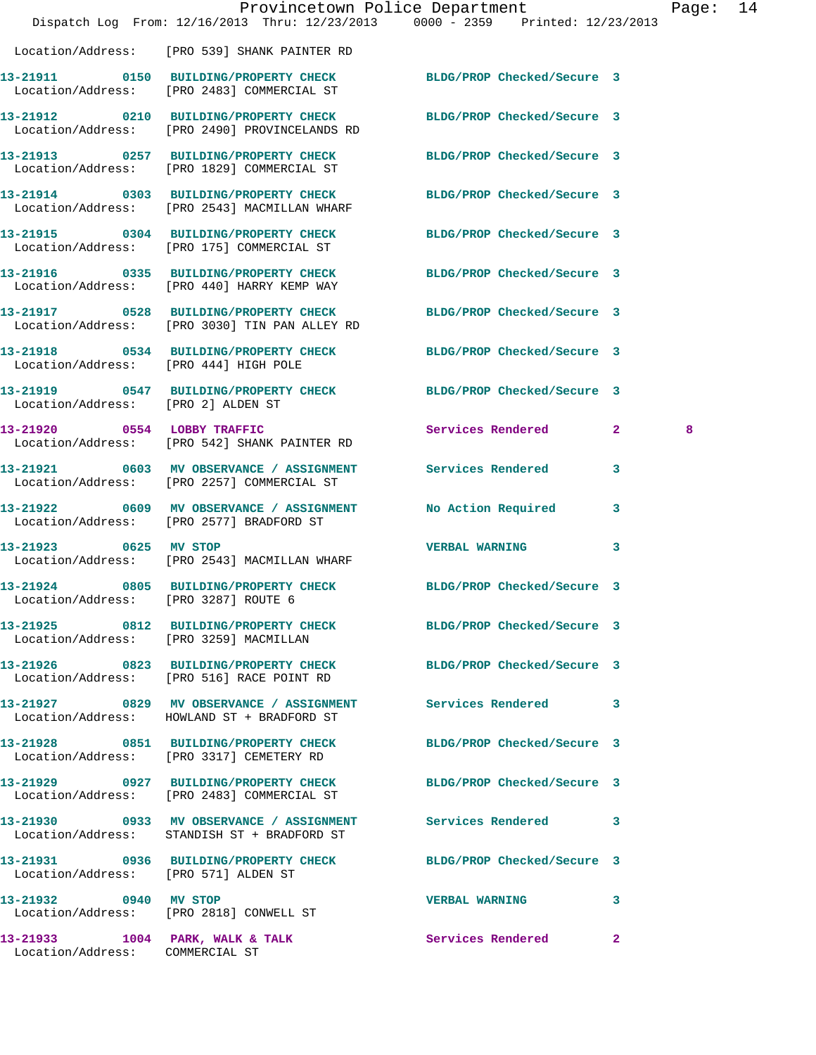|                                       |                                                                                                                   | Provincetown Police Department                                                 | Page: 14 |  |
|---------------------------------------|-------------------------------------------------------------------------------------------------------------------|--------------------------------------------------------------------------------|----------|--|
|                                       |                                                                                                                   | Dispatch Log From: 12/16/2013 Thru: 12/23/2013 0000 - 2359 Printed: 12/23/2013 |          |  |
|                                       | Location/Address: [PRO 539] SHANK PAINTER RD                                                                      |                                                                                |          |  |
|                                       | 13-21911 0150 BUILDING/PROPERTY CHECK BLDG/PROP Checked/Secure 3<br>Location/Address: [PRO 2483] COMMERCIAL ST    |                                                                                |          |  |
|                                       | 13-21912 0210 BUILDING/PROPERTY CHECK BLDG/PROP Checked/Secure 3<br>Location/Address: [PRO 2490] PROVINCELANDS RD |                                                                                |          |  |
|                                       | 13-21913 0257 BUILDING/PROPERTY CHECK<br>Location/Address: [PRO 1829] COMMERCIAL ST                               | BLDG/PROP Checked/Secure 3                                                     |          |  |
|                                       | 13-21914 0303 BUILDING/PROPERTY CHECK BLDG/PROP Checked/Secure 3<br>Location/Address: [PRO 2543] MACMILLAN WHARF  |                                                                                |          |  |
|                                       | 13-21915 0304 BUILDING/PROPERTY CHECK<br>Location/Address: [PRO 175] COMMERCIAL ST                                | BLDG/PROP Checked/Secure 3                                                     |          |  |
|                                       | 13-21916 0335 BUILDING/PROPERTY CHECK<br>Location/Address: [PRO 440] HARRY KEMP WAY                               | BLDG/PROP Checked/Secure 3                                                     |          |  |
|                                       | 13-21917 0528 BUILDING/PROPERTY CHECK<br>Location/Address: [PRO 3030] TIN PAN ALLEY RD                            | BLDG/PROP Checked/Secure 3                                                     |          |  |
| Location/Address: [PRO 444] HIGH POLE | 13-21918 0534 BUILDING/PROPERTY CHECK BLDG/PROP Checked/Secure 3                                                  |                                                                                |          |  |
| Location/Address: [PRO 2] ALDEN ST    | 13-21919 0547 BUILDING/PROPERTY CHECK BLDG/PROP Checked/Secure 3                                                  |                                                                                |          |  |
|                                       | 13-21920 0554 LOBBY TRAFFIC<br>Location/Address: [PRO 542] SHANK PAINTER RD                                       | Services Rendered 2                                                            | 8        |  |
|                                       | 13-21921 0603 MV OBSERVANCE / ASSIGNMENT Services Rendered 3<br>Location/Address: [PRO 2257] COMMERCIAL ST        |                                                                                |          |  |
|                                       | 13-21922 0609 MV OBSERVANCE / ASSIGNMENT<br>Location/Address: [PRO 2577] BRADFORD ST                              | No Action Required<br>3                                                        |          |  |
| 13-21923 0625 MV STOP                 | Location/Address: [PRO 2543] MACMILLAN WHARF                                                                      | VERBAL WARNING 3                                                               |          |  |
| Location/Address: [PRO 3287] ROUTE 6  | 13-21924 0805 BUILDING/PROPERTY CHECK BLDG/PROP Checked/Secure 3                                                  |                                                                                |          |  |
|                                       | 13-21925 0812 BUILDING/PROPERTY CHECK BLDG/PROP Checked/Secure 3<br>Location/Address: [PRO 3259] MACMILLAN        |                                                                                |          |  |
|                                       | 13-21926 0823 BUILDING/PROPERTY CHECK BLDG/PROP Checked/Secure 3<br>Location/Address: [PRO 516] RACE POINT RD     |                                                                                |          |  |
|                                       | 13-21927 0829 MV OBSERVANCE / ASSIGNMENT Services Rendered 3<br>Location/Address: HOWLAND ST + BRADFORD ST        |                                                                                |          |  |
|                                       | 13-21928 0851 BUILDING/PROPERTY CHECK BLDG/PROP Checked/Secure 3<br>Location/Address: [PRO 3317] CEMETERY RD      |                                                                                |          |  |
|                                       | 13-21929 0927 BUILDING/PROPERTY CHECK BLDG/PROP Checked/Secure 3<br>Location/Address: [PRO 2483] COMMERCIAL ST    |                                                                                |          |  |
|                                       | 13-21930 0933 MV OBSERVANCE / ASSIGNMENT<br>Location/Address: STANDISH ST + BRADFORD ST                           | <b>Services Rendered</b> 3                                                     |          |  |
| Location/Address: [PRO 571] ALDEN ST  | 13-21931 0936 BUILDING/PROPERTY CHECK BLDG/PROP Checked/Secure 3                                                  |                                                                                |          |  |
| 13-21932 0940 MV STOP                 | Location/Address: [PRO 2818] CONWELL ST                                                                           | <b>VERBAL WARNING</b><br>3                                                     |          |  |
| Location/Address: COMMERCIAL ST       |                                                                                                                   | 13-21933 1004 PARK, WALK & TALK 1999 Services Rendered 2                       |          |  |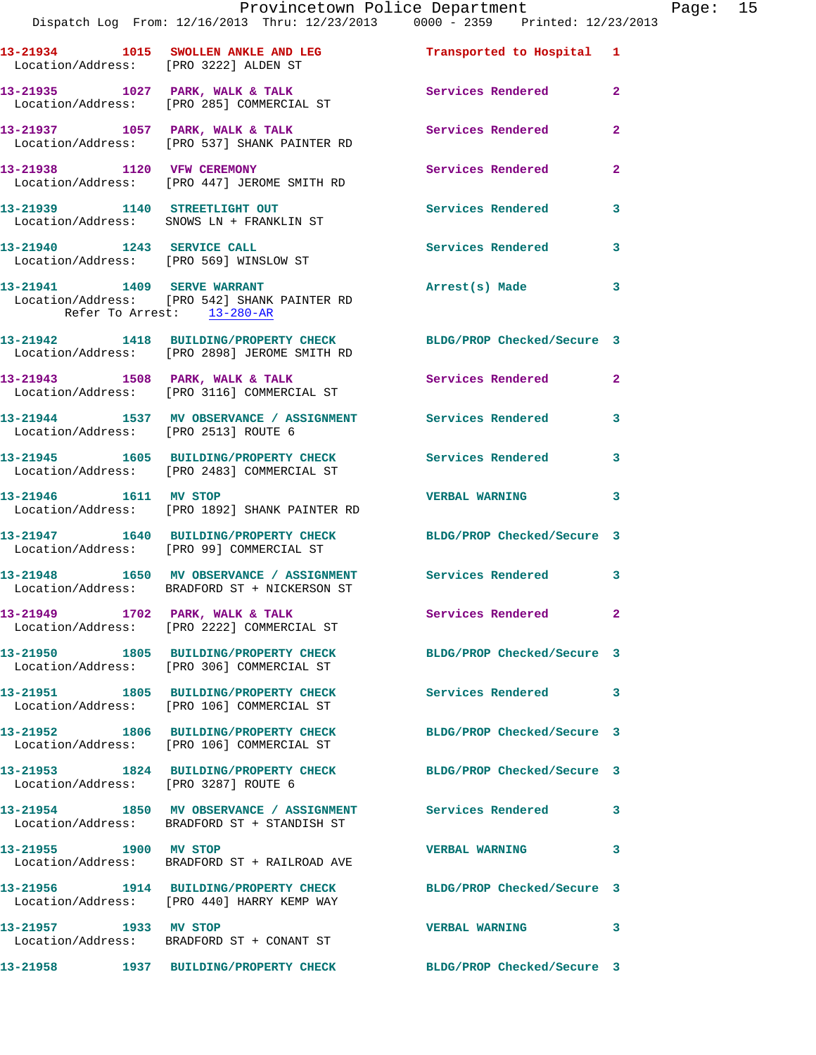|                                       | Provincetown Police Department<br>Dispatch Log From: 12/16/2013 Thru: 12/23/2013 0000 - 2359 Printed: 12/23/2013 |                            | Page: 15     |
|---------------------------------------|------------------------------------------------------------------------------------------------------------------|----------------------------|--------------|
| Location/Address: [PRO 3222] ALDEN ST | 13-21934 1015 SWOLLEN ANKLE AND LEG Transported to Hospital 1                                                    |                            |              |
|                                       | 13-21935 1027 PARK, WALK & TALK Services Rendered<br>Location/Address: [PRO 285] COMMERCIAL ST                   |                            | $\mathbf{2}$ |
|                                       |                                                                                                                  | Services Rendered          | $\mathbf{2}$ |
|                                       | 13-21938 1120 VFW CEREMONY<br>Location/Address: [PRO 447] JEROME SMITH RD                                        | Services Rendered          | $\mathbf{2}$ |
|                                       | 13-21939 1140 STREETLIGHT OUT<br>Location/Address: SNOWS LN + FRANKLIN ST                                        | Services Rendered          | 3            |
|                                       | 13-21940    1243    SERVICE CALL<br>Location/Address: [PRO 569] WINSLOW ST                                       | <b>Services Rendered</b>   | $\mathbf{3}$ |
| Refer To Arrest: 13-280-AR            | 13-21941 1409 SERVE WARRANT<br>Location/Address: [PRO 542] SHANK PAINTER RD                                      | Arrest(s) Made             | $\mathbf{3}$ |
|                                       | 13-21942 1418 BUILDING/PROPERTY CHECK BLDG/PROP Checked/Secure 3<br>Location/Address: [PRO 2898] JEROME SMITH RD |                            |              |
|                                       | 13-21943 1508 PARK, WALK & TALK<br>Location/Address: [PRO 3116] COMMERCIAL ST                                    | Services Rendered          | $\mathbf{2}$ |
| Location/Address: [PRO 2513] ROUTE 6  | 13-21944 1537 MV OBSERVANCE / ASSIGNMENT Services Rendered                                                       |                            | 3            |
|                                       | 13-21945 1605 BUILDING/PROPERTY CHECK Services Rendered<br>Location/Address: [PRO 2483] COMMERCIAL ST            |                            | 3            |
|                                       | 13-21946 1611 MV STOP<br>Location/Address: [PRO 1892] SHANK PAINTER RD                                           | <b>VERBAL WARNING</b>      | 3            |
|                                       | 13-21947 1640 BUILDING/PROPERTY CHECK BLDG/PROP Checked/Secure 3<br>Location/Address: [PRO 99] COMMERCIAL ST     |                            |              |
|                                       | 13-21948 1650 MV OBSERVANCE / ASSIGNMENT Services Rendered 3<br>Location/Address: BRADFORD ST + NICKERSON ST     |                            |              |
|                                       | 13-21949 1702 PARK, WALK & TALK<br>Location/Address: [PRO 2222] COMMERCIAL ST                                    | <b>Services Rendered</b>   | $\mathbf{2}$ |
|                                       | 13-21950 1805 BUILDING/PROPERTY CHECK BLDG/PROP Checked/Secure 3<br>Location/Address: [PRO 306] COMMERCIAL ST    |                            |              |
|                                       | 13-21951 1805 BUILDING/PROPERTY CHECK<br>Location/Address: [PRO 106] COMMERCIAL ST                               | Services Rendered 3        |              |
|                                       | 13-21952 1806 BUILDING/PROPERTY CHECK<br>Location/Address: [PRO 106] COMMERCIAL ST                               | BLDG/PROP Checked/Secure 3 |              |
| Location/Address: [PRO 3287] ROUTE 6  | 13-21953 1824 BUILDING/PROPERTY CHECK BLDG/PROP Checked/Secure 3                                                 |                            |              |
|                                       | 13-21954 1850 MV OBSERVANCE / ASSIGNMENT Services Rendered<br>Location/Address: BRADFORD ST + STANDISH ST        |                            | 3            |
| 13-21955 1900 MV STOP                 | Location/Address: BRADFORD ST + RAILROAD AVE                                                                     | <b>VERBAL WARNING</b>      | 3            |
|                                       | 13-21956 1914 BUILDING/PROPERTY CHECK BLDG/PROP Checked/Secure 3<br>Location/Address: [PRO 440] HARRY KEMP WAY   |                            |              |
| 13-21957 1933 MV STOP                 | Location/Address: BRADFORD ST + CONANT ST                                                                        | <b>VERBAL WARNING</b>      | 3            |
|                                       | 13-21958 1937 BUILDING/PROPERTY CHECK                                                                            | BLDG/PROP Checked/Secure 3 |              |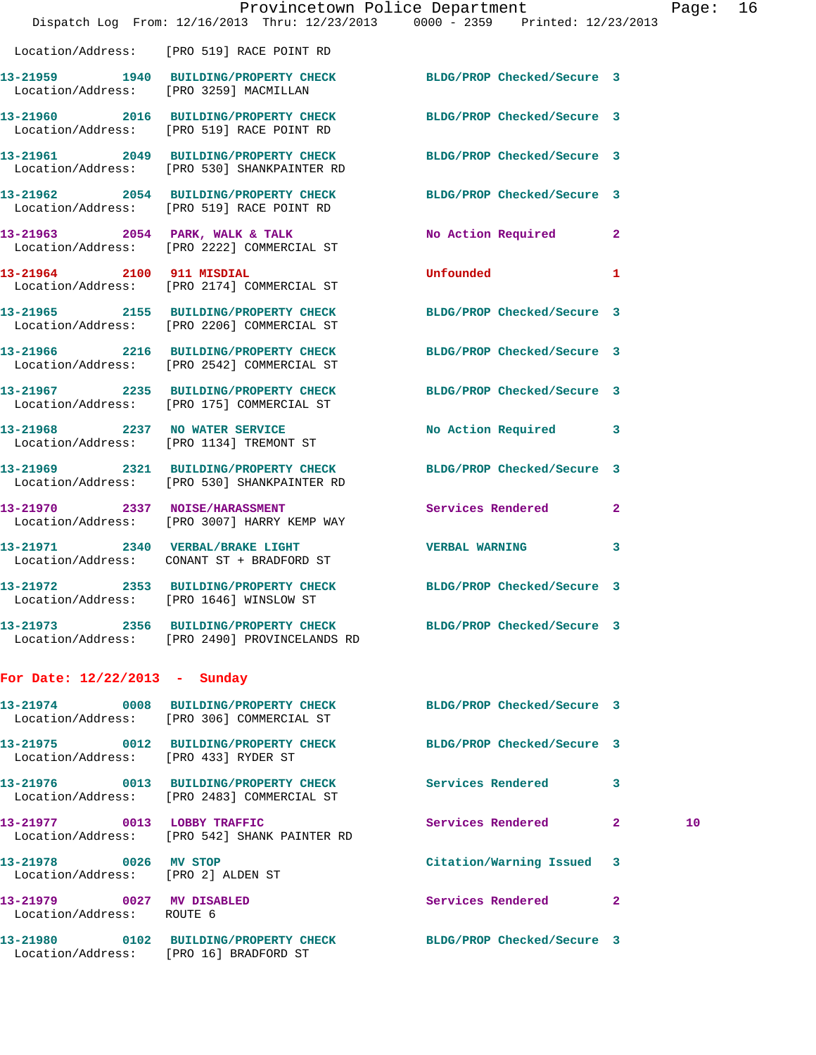|                                                                                     |                | Page                                                                                                                                                                                                                                                                                                                                                                                                                                                                                                                                                                                                                                                                                                                                                                                                                                                                                                                                                                                                                                                                                                                                                                                                                        |
|-------------------------------------------------------------------------------------|----------------|-----------------------------------------------------------------------------------------------------------------------------------------------------------------------------------------------------------------------------------------------------------------------------------------------------------------------------------------------------------------------------------------------------------------------------------------------------------------------------------------------------------------------------------------------------------------------------------------------------------------------------------------------------------------------------------------------------------------------------------------------------------------------------------------------------------------------------------------------------------------------------------------------------------------------------------------------------------------------------------------------------------------------------------------------------------------------------------------------------------------------------------------------------------------------------------------------------------------------------|
|                                                                                     |                |                                                                                                                                                                                                                                                                                                                                                                                                                                                                                                                                                                                                                                                                                                                                                                                                                                                                                                                                                                                                                                                                                                                                                                                                                             |
| Location/Address: [PRO 519] RACE POINT RD                                           |                |                                                                                                                                                                                                                                                                                                                                                                                                                                                                                                                                                                                                                                                                                                                                                                                                                                                                                                                                                                                                                                                                                                                                                                                                                             |
| Location/Address: [PRO 3259] MACMILLAN                                              |                |                                                                                                                                                                                                                                                                                                                                                                                                                                                                                                                                                                                                                                                                                                                                                                                                                                                                                                                                                                                                                                                                                                                                                                                                                             |
| Location/Address: [PRO 519] RACE POINT RD                                           |                |                                                                                                                                                                                                                                                                                                                                                                                                                                                                                                                                                                                                                                                                                                                                                                                                                                                                                                                                                                                                                                                                                                                                                                                                                             |
| Location/Address: [PRO 530] SHANKPAINTER RD                                         |                |                                                                                                                                                                                                                                                                                                                                                                                                                                                                                                                                                                                                                                                                                                                                                                                                                                                                                                                                                                                                                                                                                                                                                                                                                             |
| Location/Address: [PRO 519] RACE POINT RD                                           |                |                                                                                                                                                                                                                                                                                                                                                                                                                                                                                                                                                                                                                                                                                                                                                                                                                                                                                                                                                                                                                                                                                                                                                                                                                             |
| Location/Address: [PRO 2222] COMMERCIAL ST                                          | $\mathbf{2}$   |                                                                                                                                                                                                                                                                                                                                                                                                                                                                                                                                                                                                                                                                                                                                                                                                                                                                                                                                                                                                                                                                                                                                                                                                                             |
| 13-21964 2100 911 MISDIAL<br>Location/Address: [PRO 2174] COMMERCIAL ST             | 1              |                                                                                                                                                                                                                                                                                                                                                                                                                                                                                                                                                                                                                                                                                                                                                                                                                                                                                                                                                                                                                                                                                                                                                                                                                             |
| Location/Address: [PRO 2206] COMMERCIAL ST                                          |                |                                                                                                                                                                                                                                                                                                                                                                                                                                                                                                                                                                                                                                                                                                                                                                                                                                                                                                                                                                                                                                                                                                                                                                                                                             |
| 13-21966 2216 BUILDING/PROPERTY CHECK<br>Location/Address: [PRO 2542] COMMERCIAL ST |                |                                                                                                                                                                                                                                                                                                                                                                                                                                                                                                                                                                                                                                                                                                                                                                                                                                                                                                                                                                                                                                                                                                                                                                                                                             |
| 13-21967 2235 BUILDING/PROPERTY CHECK<br>Location/Address: [PRO 175] COMMERCIAL ST  |                |                                                                                                                                                                                                                                                                                                                                                                                                                                                                                                                                                                                                                                                                                                                                                                                                                                                                                                                                                                                                                                                                                                                                                                                                                             |
| 13-21968 2237 NO WATER SERVICE<br>Location/Address: [PRO 1134] TREMONT ST           |                |                                                                                                                                                                                                                                                                                                                                                                                                                                                                                                                                                                                                                                                                                                                                                                                                                                                                                                                                                                                                                                                                                                                                                                                                                             |
| Location/Address: [PRO 530] SHANKPAINTER RD                                         |                |                                                                                                                                                                                                                                                                                                                                                                                                                                                                                                                                                                                                                                                                                                                                                                                                                                                                                                                                                                                                                                                                                                                                                                                                                             |
| 13-21970 2337 NOISE/HARASSMENT<br>Location/Address: [PRO 3007] HARRY KEMP WAY       | $\overline{2}$ |                                                                                                                                                                                                                                                                                                                                                                                                                                                                                                                                                                                                                                                                                                                                                                                                                                                                                                                                                                                                                                                                                                                                                                                                                             |
| 13-21971 2340 VERBAL/BRAKE LIGHT<br>Location/Address: CONANT ST + BRADFORD ST       | 3              |                                                                                                                                                                                                                                                                                                                                                                                                                                                                                                                                                                                                                                                                                                                                                                                                                                                                                                                                                                                                                                                                                                                                                                                                                             |
| Location/Address: [PRO 1646] WINSLOW ST                                             |                |                                                                                                                                                                                                                                                                                                                                                                                                                                                                                                                                                                                                                                                                                                                                                                                                                                                                                                                                                                                                                                                                                                                                                                                                                             |
| Location/Address: [PRO 2490] PROVINCELANDS RD                                       |                |                                                                                                                                                                                                                                                                                                                                                                                                                                                                                                                                                                                                                                                                                                                                                                                                                                                                                                                                                                                                                                                                                                                                                                                                                             |
| For Date: $12/22/2013$ - Sunday                                                     |                |                                                                                                                                                                                                                                                                                                                                                                                                                                                                                                                                                                                                                                                                                                                                                                                                                                                                                                                                                                                                                                                                                                                                                                                                                             |
| Location/Address: [PRO 306] COMMERCIAL ST                                           |                |                                                                                                                                                                                                                                                                                                                                                                                                                                                                                                                                                                                                                                                                                                                                                                                                                                                                                                                                                                                                                                                                                                                                                                                                                             |
| Location/Address: [PRO 433] RYDER ST                                                |                |                                                                                                                                                                                                                                                                                                                                                                                                                                                                                                                                                                                                                                                                                                                                                                                                                                                                                                                                                                                                                                                                                                                                                                                                                             |
| Location/Address: [PRO 2483] COMMERCIAL ST                                          | 3              |                                                                                                                                                                                                                                                                                                                                                                                                                                                                                                                                                                                                                                                                                                                                                                                                                                                                                                                                                                                                                                                                                                                                                                                                                             |
| 13-21977 0013 LOBBY TRAFFIC<br>Location/Address: [PRO 542] SHANK PAINTER RD         | $\mathbf{2}$   | 10                                                                                                                                                                                                                                                                                                                                                                                                                                                                                                                                                                                                                                                                                                                                                                                                                                                                                                                                                                                                                                                                                                                                                                                                                          |
| 13-21978 0026 MV STOP<br>Location/Address: [PRO 2] ALDEN ST                         | 3              |                                                                                                                                                                                                                                                                                                                                                                                                                                                                                                                                                                                                                                                                                                                                                                                                                                                                                                                                                                                                                                                                                                                                                                                                                             |
| 13-21979 0027 MV DISABLED<br>Location/Address: ROUTE 6                              | $\mathbf{2}$   |                                                                                                                                                                                                                                                                                                                                                                                                                                                                                                                                                                                                                                                                                                                                                                                                                                                                                                                                                                                                                                                                                                                                                                                                                             |
| Location/Address: [PRO 16] BRADFORD ST                                              |                |                                                                                                                                                                                                                                                                                                                                                                                                                                                                                                                                                                                                                                                                                                                                                                                                                                                                                                                                                                                                                                                                                                                                                                                                                             |
|                                                                                     | Unfounded      | Provincetown Police Department<br>Dispatch Log From: 12/16/2013 Thru: 12/23/2013 0000 - 2359 Printed: 12/23/2013<br>13-21959 1940 BUILDING/PROPERTY CHECK BLDG/PROP Checked/Secure 3<br>13-21960 2016 BUILDING/PROPERTY CHECK BLDG/PROP Checked/Secure 3<br>13-21961 2049 BUILDING/PROPERTY CHECK BLDG/PROP Checked/Secure 3<br>13-21962 2054 BUILDING/PROPERTY CHECK BLDG/PROP Checked/Secure 3<br>13-21963 2054 PARK, WALK & TALK NO Action Required<br>13-21965 2155 BUILDING/PROPERTY CHECK BLDG/PROP Checked/Secure 3<br>BLDG/PROP Checked/Secure 3<br>BLDG/PROP Checked/Secure 3<br>No Action Required 3<br>13-21969 2321 BUILDING/PROPERTY CHECK BLDG/PROP Checked/Secure 3<br>Services Rendered<br><b>VERBAL WARNING</b><br>13-21972 2353 BUILDING/PROPERTY CHECK BLDG/PROP Checked/Secure 3<br>13-21973 2356 BUILDING/PROPERTY CHECK BLDG/PROP Checked/Secure 3<br>13-21974 0008 BUILDING/PROPERTY CHECK BLDG/PROP Checked/Secure 3<br>13-21975 0012 BUILDING/PROPERTY CHECK BLDG/PROP Checked/Secure 3<br>13-21976 0013 BUILDING/PROPERTY CHECK Services Rendered<br><b>Services Rendered</b><br>Citation/Warning Issued<br>Services Rendered<br>13-21980 0102 BUILDING/PROPERTY CHECK BLDG/PROP Checked/Secure 3 |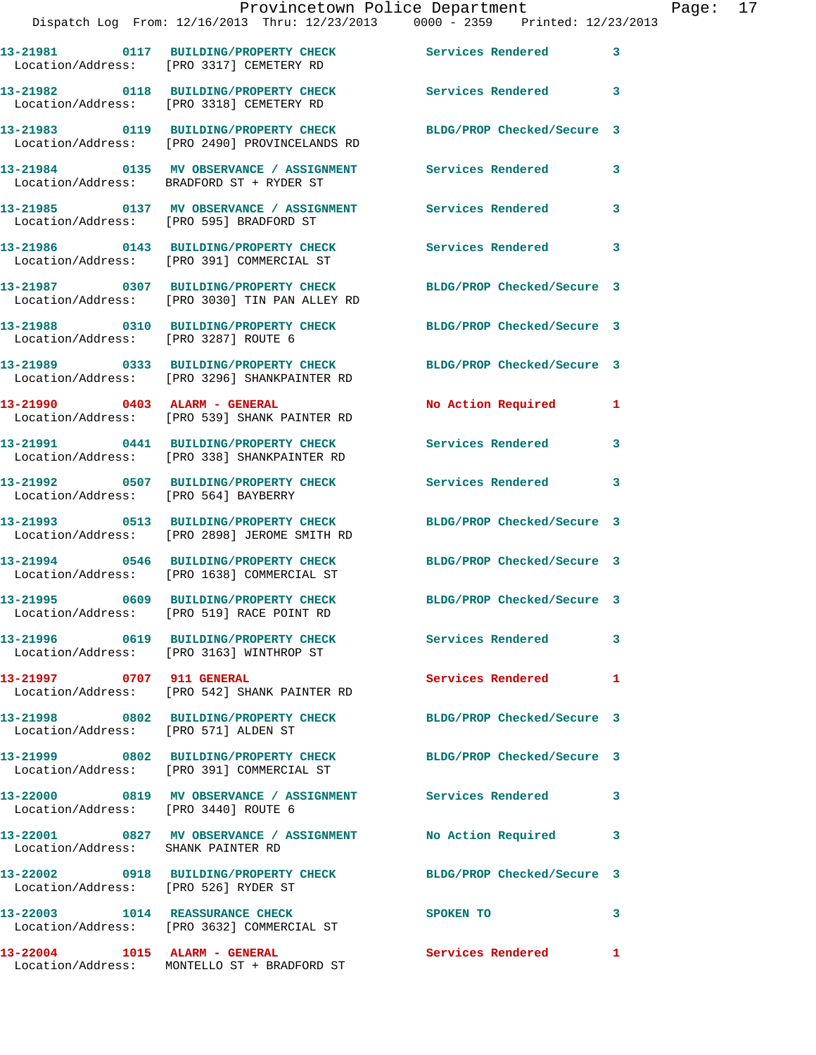|                                      | Provincetown Police Department<br>Dispatch Log From: 12/16/2013 Thru: 12/23/2013 0000 - 2359 Printed: 12/23/2013   |                            |              |
|--------------------------------------|--------------------------------------------------------------------------------------------------------------------|----------------------------|--------------|
|                                      | 13-21981     0117   BUILDING/PROPERTY CHECK        Services Rendered<br>Location/Address:   [PRO 3317] CEMETERY RD |                            | $\mathbf{3}$ |
|                                      | 13-21982 0118 BUILDING/PROPERTY CHECK Services Rendered 3<br>Location/Address: [PRO 3318] CEMETERY RD              |                            |              |
|                                      | 13-21983 0119 BUILDING/PROPERTY CHECK BLDG/PROP Checked/Secure 3<br>Location/Address: [PRO 2490] PROVINCELANDS RD  |                            |              |
|                                      | 13-21984 0135 MV OBSERVANCE / ASSIGNMENT Services Rendered<br>Location/Address: BRADFORD ST + RYDER ST             |                            | 3            |
|                                      | 13-21985 0137 MV OBSERVANCE / ASSIGNMENT Services Rendered<br>Location/Address: [PRO 595] BRADFORD ST              |                            | $\mathbf{3}$ |
|                                      | 13-21986 0143 BUILDING/PROPERTY CHECK<br>Location/Address: [PRO 391] COMMERCIAL ST                                 | Services Rendered          | 3            |
|                                      | 13-21987 0307 BUILDING/PROPERTY CHECK<br>Location/Address: [PRO 3030] TIN PAN ALLEY RD                             | BLDG/PROP Checked/Secure 3 |              |
| Location/Address: [PRO 3287] ROUTE 6 | 13-21988 0310 BUILDING/PROPERTY CHECK                                                                              | BLDG/PROP Checked/Secure 3 |              |
|                                      | 13-21989 0333 BUILDING/PROPERTY CHECK<br>Location/Address: [PRO 3296] SHANKPAINTER RD                              | BLDG/PROP Checked/Secure 3 |              |
|                                      | 13-21990 0403 ALARM - GENERAL<br>Location/Address: [PRO 539] SHANK PAINTER RD                                      | No Action Required         | 1            |
|                                      | 13-21991 0441 BUILDING/PROPERTY CHECK<br>Location/Address: [PRO 338] SHANKPAINTER RD                               | Services Rendered          | 3            |
| Location/Address: [PRO 564] BAYBERRY | 13-21992 0507 BUILDING/PROPERTY CHECK                                                                              | <b>Services Rendered</b>   | $\mathbf{3}$ |
|                                      | 13-21993 0513 BUILDING/PROPERTY CHECK<br>Location/Address: [PRO 2898] JEROME SMITH RD                              | BLDG/PROP Checked/Secure 3 |              |
|                                      | 13-21994 0546 BUILDING/PROPERTY CHECK<br>Location/Address: [PRO 1638] COMMERCIAL ST                                | BLDG/PROP Checked/Secure 3 |              |
|                                      | 13-21995 0609 BUILDING/PROPERTY CHECK<br>Location/Address: [PRO 519] RACE POINT RD                                 | BLDG/PROP Checked/Secure 3 |              |
|                                      | 13-21996 0619 BUILDING/PROPERTY CHECK<br>Location/Address: [PRO 3163] WINTHROP ST                                  | Services Rendered          | 3            |
| 13-21997 0707 911 GENERAL            | Location/Address: [PRO 542] SHANK PAINTER RD                                                                       | Services Rendered          | 1            |
| Location/Address: [PRO 571] ALDEN ST | 13-21998 0802 BUILDING/PROPERTY CHECK                                                                              | BLDG/PROP Checked/Secure 3 |              |
|                                      | 13-21999 0802 BUILDING/PROPERTY CHECK<br>Location/Address: [PRO 391] COMMERCIAL ST                                 | BLDG/PROP Checked/Secure 3 |              |
| Location/Address: [PRO 3440] ROUTE 6 | 13-22000 0819 MV OBSERVANCE / ASSIGNMENT Services Rendered                                                         |                            | 3            |
| Location/Address: SHANK PAINTER RD   | 13-22001 0827 MV OBSERVANCE / ASSIGNMENT                                                                           | No Action Required         | 3            |
| Location/Address: [PRO 526] RYDER ST | 13-22002 0918 BUILDING/PROPERTY CHECK                                                                              | BLDG/PROP Checked/Secure 3 |              |

**13-22003 1014 REASSURANCE CHECK SPOKEN TO 3**  Location/Address: [PRO 3632] COMMERCIAL ST

**13-22004 1015 ALARM - GENERAL Services Rendered 1**  Location/Address: MONTELLO ST + BRADFORD ST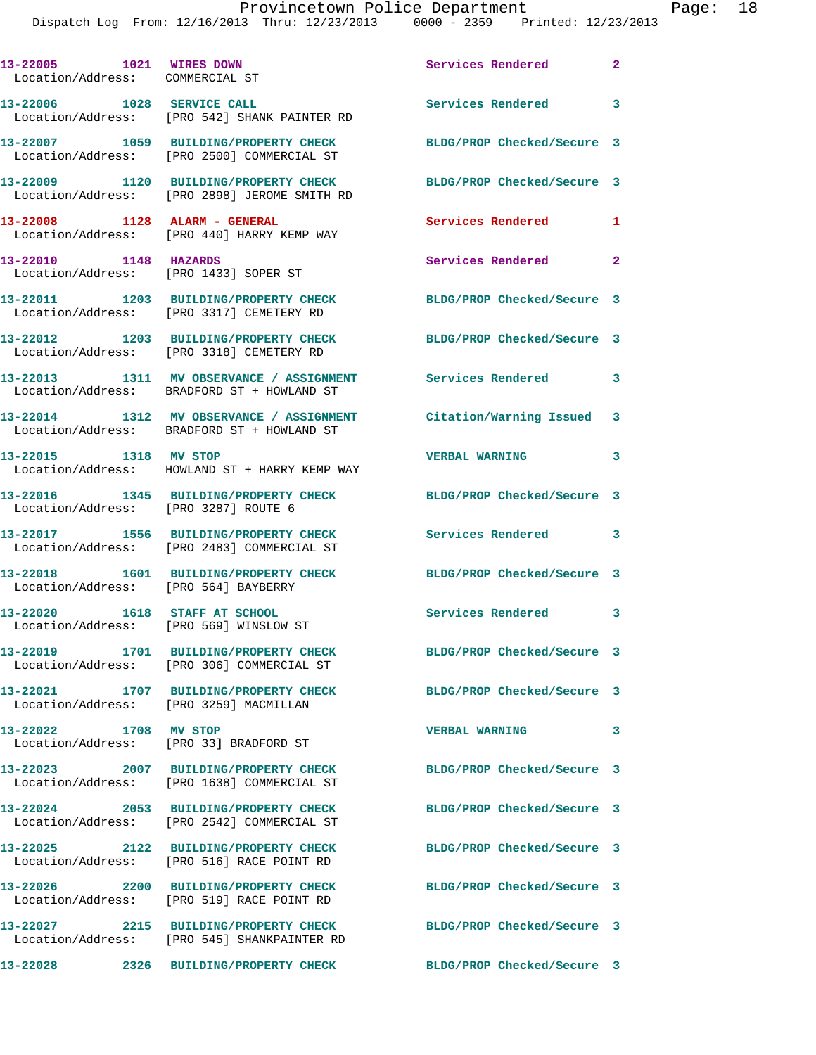## Provincetown Police Department Page: 18

Dispatch Log From: 12/16/2013 Thru: 12/23/2013 0000 - 2359 Printed: 12/23/2013

| 13-22005 1021 WIRES DOWN<br>Location/Address: COMMERCIAL ST             |                                                                                        | Services Rendered          | $\overline{\mathbf{2}}$ |
|-------------------------------------------------------------------------|----------------------------------------------------------------------------------------|----------------------------|-------------------------|
| 13-22006 1028 SERVICE CALL                                              | Location/Address: [PRO 542] SHANK PAINTER RD                                           | <b>Services Rendered</b>   | 3                       |
|                                                                         | 13-22007 1059 BUILDING/PROPERTY CHECK<br>Location/Address: [PRO 2500] COMMERCIAL ST    | BLDG/PROP Checked/Secure 3 |                         |
|                                                                         | 13-22009 1120 BUILDING/PROPERTY CHECK<br>Location/Address: [PRO 2898] JEROME SMITH RD  | BLDG/PROP Checked/Secure 3 |                         |
| 13-22008 1128 ALARM - GENERAL                                           | Location/Address: [PRO 440] HARRY KEMP WAY                                             | Services Rendered          | 1                       |
| 13-22010 1148 HAZARDS                                                   | Location/Address: [PRO 1433] SOPER ST                                                  | <b>Services Rendered</b>   | 2                       |
|                                                                         | 13-22011 1203 BUILDING/PROPERTY CHECK<br>Location/Address: [PRO 3317] CEMETERY RD      | BLDG/PROP Checked/Secure 3 |                         |
|                                                                         | 13-22012 1203 BUILDING/PROPERTY CHECK<br>Location/Address: [PRO 3318] CEMETERY RD      | BLDG/PROP Checked/Secure 3 |                         |
|                                                                         | 13-22013 1311 MV OBSERVANCE / ASSIGNMENT<br>Location/Address: BRADFORD ST + HOWLAND ST | Services Rendered          | 3                       |
|                                                                         | 13-22014 1312 MV OBSERVANCE / ASSIGNMENT<br>Location/Address: BRADFORD ST + HOWLAND ST | Citation/Warning Issued    | 3                       |
| 13-22015 1318 MV STOP                                                   | Location/Address: HOWLAND ST + HARRY KEMP WAY                                          | <b>VERBAL WARNING</b>      | 3                       |
| Location/Address: [PRO 3287] ROUTE 6                                    | 13-22016 1345 BUILDING/PROPERTY CHECK                                                  | BLDG/PROP Checked/Secure 3 |                         |
|                                                                         | 13-22017 1556 BUILDING/PROPERTY CHECK<br>Location/Address: [PRO 2483] COMMERCIAL ST    | Services Rendered          | 3                       |
| Location/Address: [PRO 564] BAYBERRY                                    | 13-22018 1601 BUILDING/PROPERTY CHECK                                                  | BLDG/PROP Checked/Secure 3 |                         |
| 13-22020 1618 STAFF AT SCHOOL<br>Location/Address: [PRO 569] WINSLOW ST |                                                                                        | Services Rendered          | 3                       |
|                                                                         | 13-22019 1701 BUILDING/PROPERTY CHECK<br>Location/Address: [PRO 306] COMMERCIAL ST     | BLDG/PROP Checked/Secure 3 |                         |
| Location/Address: [PRO 3259] MACMILLAN                                  | 13-22021 1707 BUILDING/PROPERTY CHECK                                                  | BLDG/PROP Checked/Secure 3 |                         |
| 13-22022 1708 MV STOP<br>Location/Address: [PRO 33] BRADFORD ST         |                                                                                        | <b>VERBAL WARNING</b>      | 3                       |
|                                                                         | 13-22023 2007 BUILDING/PROPERTY CHECK<br>Location/Address: [PRO 1638] COMMERCIAL ST    | BLDG/PROP Checked/Secure 3 |                         |
|                                                                         | 13-22024 2053 BUILDING/PROPERTY CHECK<br>Location/Address: [PRO 2542] COMMERCIAL ST    | BLDG/PROP Checked/Secure 3 |                         |
|                                                                         | 13-22025 2122 BUILDING/PROPERTY CHECK<br>Location/Address: [PRO 516] RACE POINT RD     | BLDG/PROP Checked/Secure 3 |                         |
|                                                                         | 13-22026 2200 BUILDING/PROPERTY CHECK<br>Location/Address: [PRO 519] RACE POINT RD     | BLDG/PROP Checked/Secure 3 |                         |
|                                                                         | 13-22027 2215 BUILDING/PROPERTY CHECK<br>Location/Address: [PRO 545] SHANKPAINTER RD   | BLDG/PROP Checked/Secure 3 |                         |
|                                                                         | 13-22028 2326 BUILDING/PROPERTY CHECK                                                  | BLDG/PROP Checked/Secure 3 |                         |